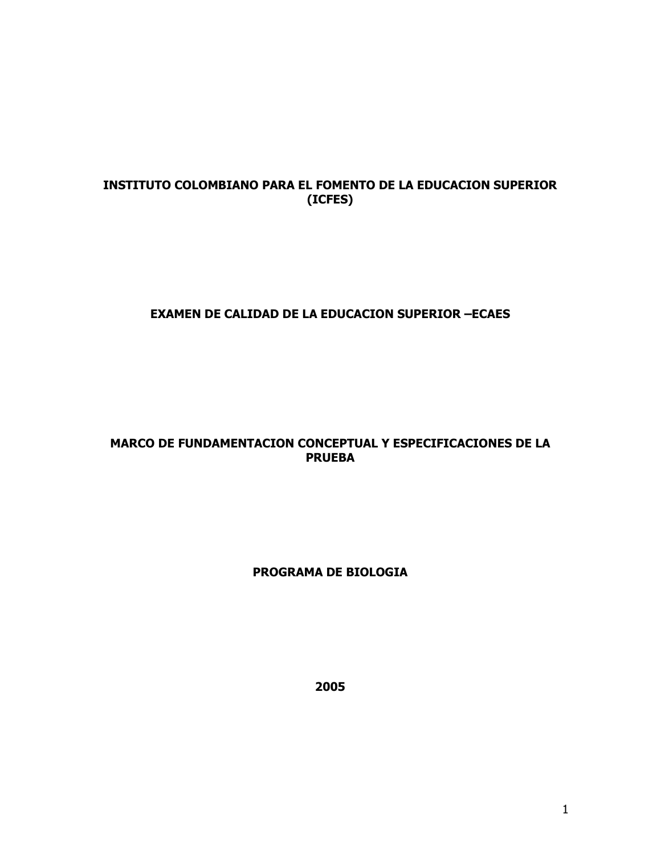# INSTITUTO COLOMBIANO PARA EL FOMENTO DE LA EDUCACION SUPERIOR (ICFES)

# **EXAMEN DE CALIDAD DE LA EDUCACION SUPERIOR -ECAES**

# MARCO DE FUNDAMENTACION CONCEPTUAL Y ESPECIFICACIONES DE LA **PRUEBA**

## PROGRAMA DE BIOLOGIA

2005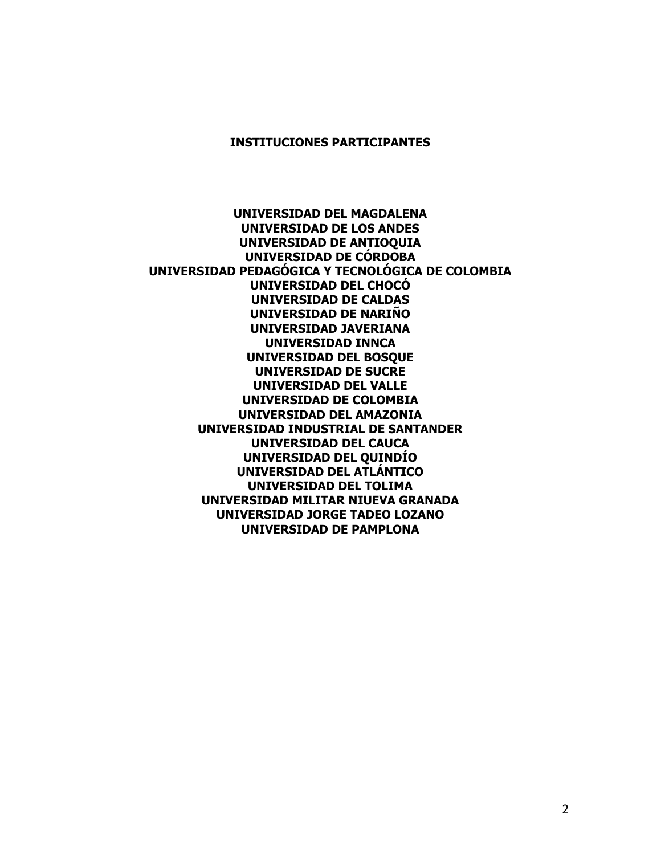#### **INSTITUCIONES PARTICIPANTES**

UNIVERSIDAD DEL MAGDALENA **UNIVERSIDAD DE LOS ANDES** UNIVERSIDAD DE ANTIOQUIA UNIVERSIDAD DE CÓRDOBA UNIVERSIDAD PEDAGÓGICA Y TECNOLÓGICA DE COLOMBIA UNIVERSIDAD DEL CHOCÓ **UNIVERSIDAD DE CALDAS** UNIVERSIDAD DE NARIÑO **UNIVERSIDAD JAVERIANA UNIVERSIDAD INNCA** UNIVERSIDAD DEL BOSQUE **UNIVERSIDAD DE SUCRE UNIVERSIDAD DEL VALLE** UNIVERSIDAD DE COLOMBIA UNIVERSIDAD DEL AMAZONIA UNIVERSIDAD INDUSTRIAL DE SANTANDER **UNIVERSIDAD DEL CAUCA** UNIVERSIDAD DEL QUINDÍO UNIVERSIDAD DEL ATLÁNTICO UNIVERSIDAD DEL TOLIMA UNIVERSIDAD MILITAR NIUEVA GRANADA UNIVERSIDAD JORGE TADEO LOZANO UNIVERSIDAD DE PAMPLONA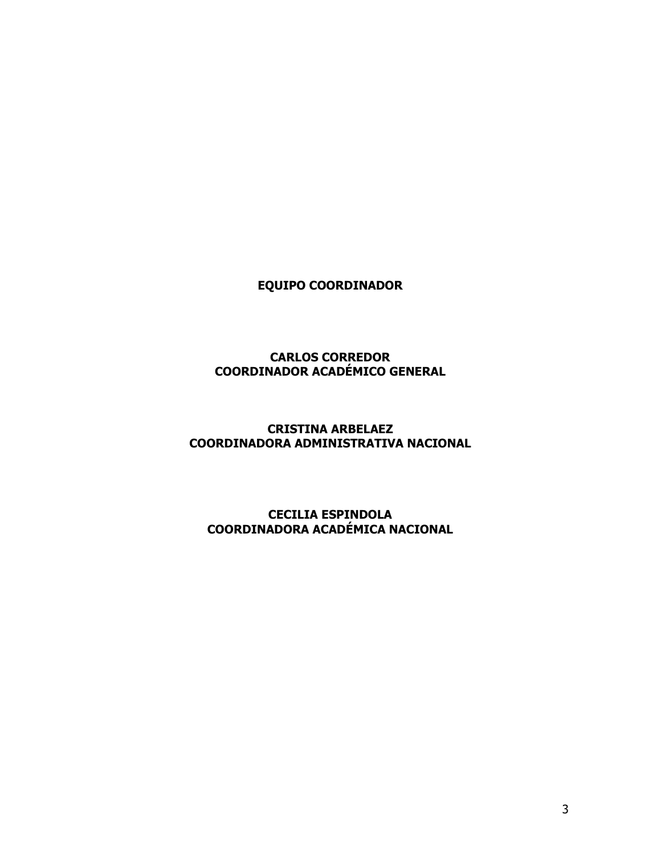**EQUIPO COORDINADOR** 

#### **CARLOS CORREDOR COORDINADOR ACADÉMICO GENERAL**

## **CRISTINA ARBELAEZ** COORDINADORA ADMINISTRATIVA NACIONAL

#### **CECILIA ESPINDOLA COORDINADORA ACADÉMICA NACIONAL**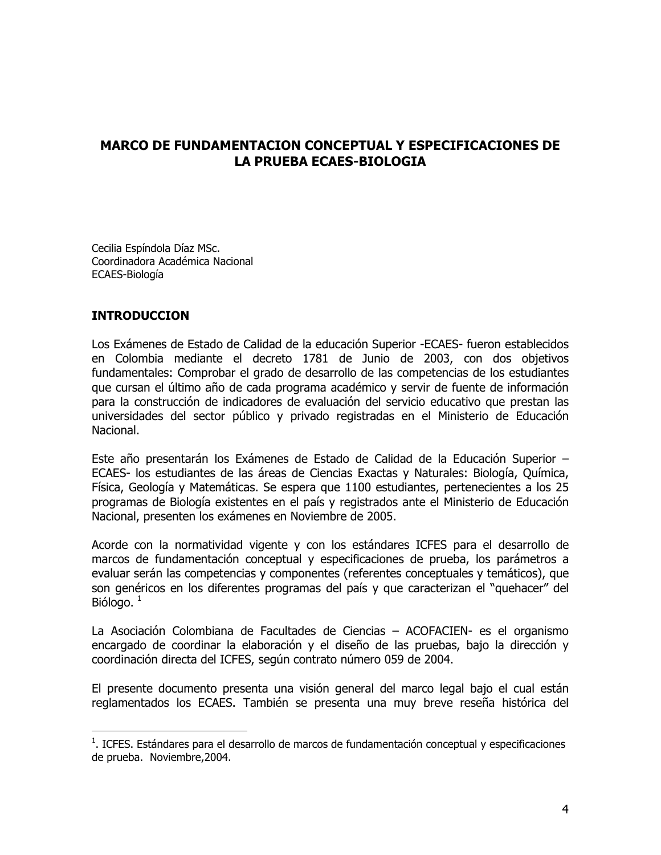# **MARCO DE FUNDAMENTACION CONCEPTUAL Y ESPECIFICACIONES DE LA PRUEBA ECAES-BIOLOGIA**

Cecilia Espíndola Díaz MSc. Coordinadora Académica Nacional ECAES-Biología

#### **INTRODUCCION**

Los Exámenes de Estado de Calidad de la educación Superior -ECAES- fueron establecidos en Colombia mediante el decreto 1781 de Junio de 2003, con dos objetivos fundamentales: Comprobar el grado de desarrollo de las competencias de los estudiantes que cursan el último año de cada programa académico y servir de fuente de información para la construcción de indicadores de evaluación del servicio educativo que prestan las universidades del sector público y privado registradas en el Ministerio de Educación Nacional.

Este año presentarán los Exámenes de Estado de Calidad de la Educación Superior -ECAES- los estudiantes de las áreas de Ciencias Exactas y Naturales: Biología, Química, Física, Geología y Matemáticas. Se espera que 1100 estudiantes, pertenecientes a los 25 programas de Biología existentes en el país y registrados ante el Ministerio de Educación Nacional, presenten los exámenes en Noviembre de 2005.

Acorde con la normatividad vigente y con los estándares ICFES para el desarrollo de marcos de fundamentación conceptual y especificaciones de prueba, los parámetros a evaluar serán las competencias y componentes (referentes conceptuales y temáticos), que son genéricos en los diferentes programas del país y que caracterizan el "quehacer" del Biólogo,  $1$ 

La Asociación Colombiana de Facultades de Ciencias - ACOFACIEN- es el organismo encargado de coordinar la elaboración y el diseño de las pruebas, bajo la dirección y coordinación directa del ICFES, según contrato número 059 de 2004.

El presente documento presenta una visión general del marco legal bajo el cual están reglamentados los ECAES. También se presenta una muy breve reseña histórica del

 $1$ . ICFES. Estándares para el desarrollo de marcos de fundamentación conceptual y especificaciones de prueba. Noviembre, 2004.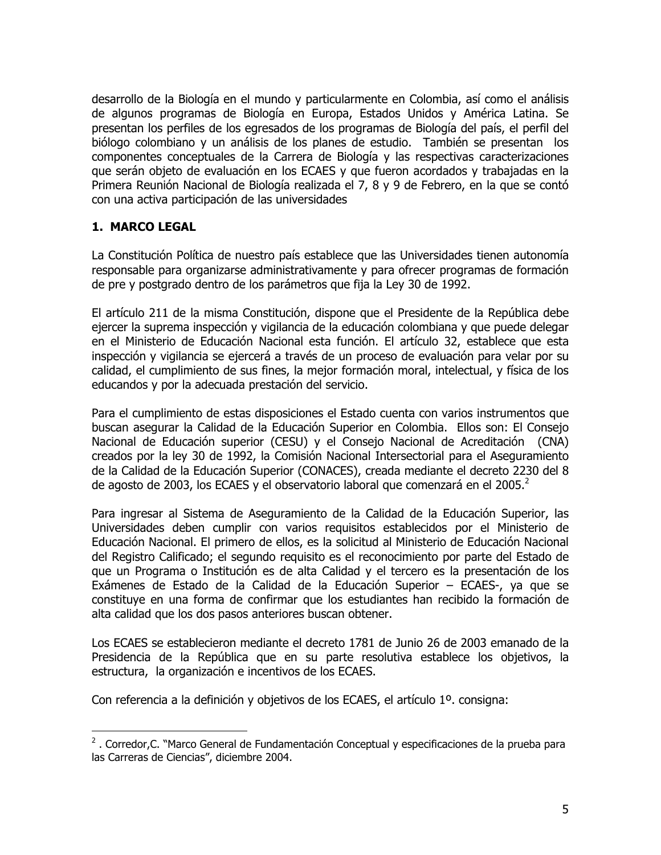desarrollo de la Biología en el mundo y particularmente en Colombia, así como el análisis de algunos programas de Biología en Europa, Estados Unidos y América Latina. Se presentan los perfiles de los egresados de los programas de Biología del país, el perfil del biólogo colombiano y un análisis de los planes de estudio. También se presentan los componentes conceptuales de la Carrera de Biología y las respectivas caracterizaciones que serán objeto de evaluación en los ECAES y que fueron acordados y trabajadas en la Primera Reunión Nacional de Biología realizada el 7, 8 y 9 de Febrero, en la que se contó con una activa participación de las universidades

## 1. MARCO LEGAL

La Constitución Política de nuestro país establece que las Universidades tienen autonomía responsable para organizarse administrativamente y para ofrecer programas de formación de pre y postgrado dentro de los parámetros que fija la Ley 30 de 1992.

El artículo 211 de la misma Constitución, dispone que el Presidente de la República debe ejercer la suprema inspección y vigilancia de la educación colombiana y que puede delegar en el Ministerio de Educación Nacional esta función. El artículo 32, establece que esta inspección y vigilancia se ejercerá a través de un proceso de evaluación para velar por su calidad, el cumplimiento de sus fines, la mejor formación moral, intelectual, y física de los educandos y por la adecuada prestación del servicio.

Para el cumplimiento de estas disposiciones el Estado cuenta con varios instrumentos que buscan asegurar la Calidad de la Educación Superior en Colombia. Ellos son: El Consejo Nacional de Educación superior (CESU) y el Consejo Nacional de Acreditación (CNA) creados por la ley 30 de 1992, la Comisión Nacional Intersectorial para el Aseguramiento de la Calidad de la Educación Superior (CONACES), creada mediante el decreto 2230 del 8 de agosto de 2003, los ECAES y el observatorio laboral que comenzará en el 2005.<sup>2</sup>

Para ingresar al Sistema de Aseguramiento de la Calidad de la Educación Superior, las Universidades deben cumplir con varios requisitos establecidos por el Ministerio de Educación Nacional. El primero de ellos, es la solicitud al Ministerio de Educación Nacional del Registro Calificado; el segundo reguisito es el reconocimiento por parte del Estado de que un Programa o Institución es de alta Calidad y el tercero es la presentación de los Exámenes de Estado de la Calidad de la Educación Superior - ECAES-, ya que se constituye en una forma de confirmar que los estudiantes han recibido la formación de alta calidad que los dos pasos anteriores buscan obtener.

Los ECAES se establecieron mediante el decreto 1781 de Junio 26 de 2003 emanado de la Presidencia de la República que en su parte resolutiva establece los objetivos, la estructura, la organización e incentivos de los ECAES.

Con referencia a la definición y objetivos de los ECAES, el artículo 1º. consigna:

<sup>&</sup>lt;sup>2</sup>. Corredor, C. "Marco General de Fundamentación Conceptual y especificaciones de la prueba para las Carreras de Ciencias", diciembre 2004.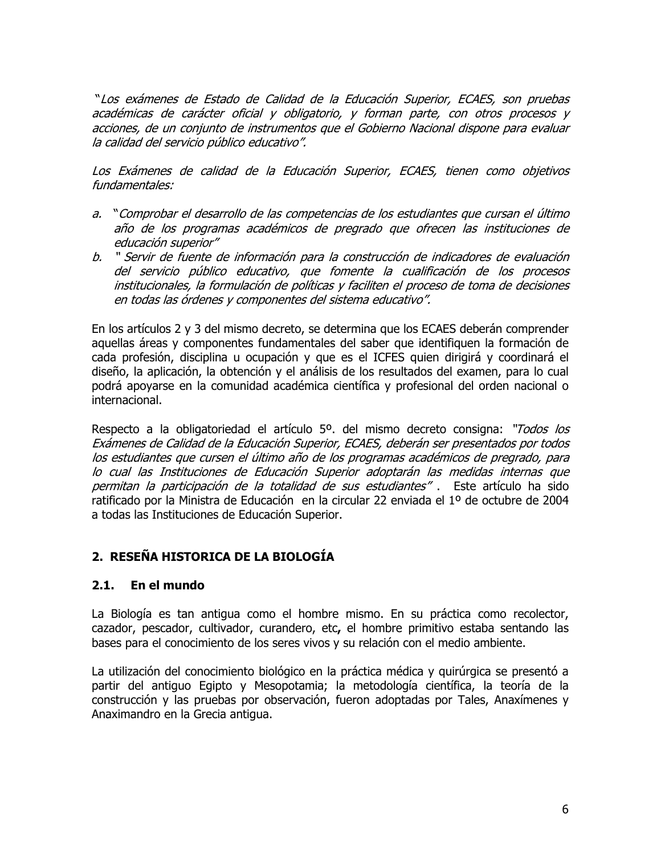"Los exámenes de Estado de Calidad de la Educación Superior, ECAES, son pruebas académicas de carácter oficial y obligatorio, y forman parte, con otros procesos y acciones, de un conjunto de instrumentos que el Gobierno Nacional dispone para evaluar la calidad del servicio público educativo".

Los Exámenes de calidad de la Educación Superior, ECAES, tienen como objetivos fundamentales;

- a. "Comprobar el desarrollo de las competencias de los estudiantes que cursan el último año de los programas académicos de pregrado que ofrecen las instituciones de educación superior"
- b. " Servir de fuente de información para la construcción de indicadores de evaluación del servicio público educativo, que fomente la cualificación de los procesos institucionales, la formulación de políticas y faciliten el proceso de toma de decisiones en todas las órdenes y componentes del sistema educativo".

En los artículos 2 y 3 del mismo decreto, se determina que los ECAES deberán comprender aquellas áreas y componentes fundamentales del saber que identifiquen la formación de cada profesión, disciplina u ocupación y que es el ICFES quien dirigirá y coordinará el diseño, la aplicación, la obtención y el análisis de los resultados del examen, para lo cual podrá apoyarse en la comunidad académica científica y profesional del orden nacional o internacional.

Respecto a la obligatoriedad el artículo 5º. del mismo decreto consigna: "Todos los Exámenes de Calidad de la Educación Superior, ECAES, deberán ser presentados por todos los estudiantes que cursen el último año de los programas académicos de pregrado, para lo cual las Instituciones de Educación Superior adoptarán las medidas internas que permitan la participación de la totalidad de sus estudiantes". Este artículo ha sido ratificado por la Ministra de Educación en la circular 22 enviada el 1º de octubre de 2004 a todas las Instituciones de Educación Superior.

# 2. RESEÑA HISTORICA DE LA BIOLOGÍA

#### $2.1.$ En el mundo

La Biología es tan antigua como el hombre mismo. En su práctica como recolector, cazador, pescador, cultivador, curandero, etc, el hombre primitivo estaba sentando las bases para el conocimiento de los seres vivos y su relación con el medio ambiente.

La utilización del conocimiento biológico en la práctica médica y quirúrgica se presentó a partir del antiguo Egipto y Mesopotamia; la metodología científica, la teoría de la construcción y las pruebas por observación, fueron adoptadas por Tales, Anaxímenes y Anaximandro en la Grecia antigua.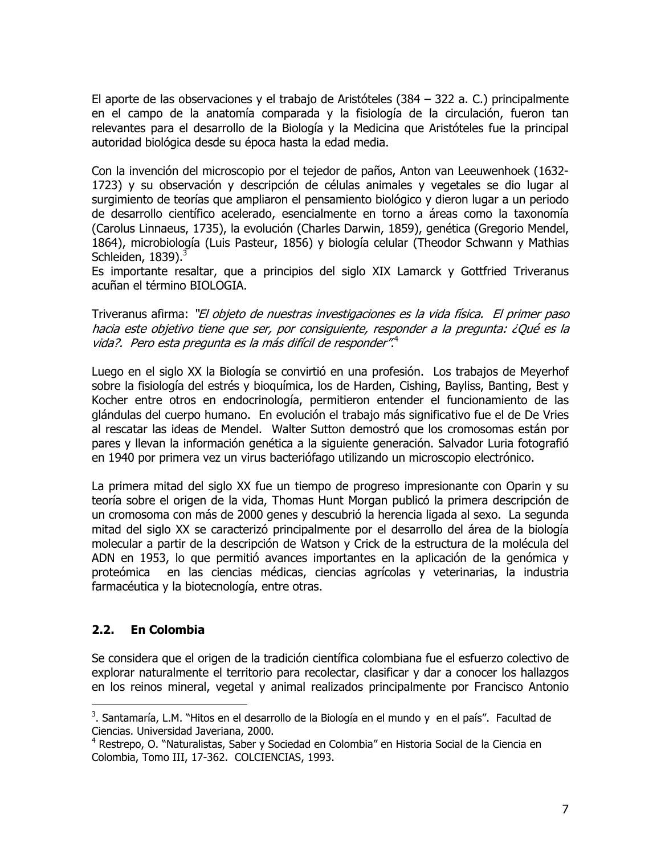El aporte de las observaciones y el trabajo de Aristóteles (384 – 322 a. C.) principalmente en el campo de la anatomía comparada y la fisiología de la circulación, fueron tan relevantes para el desarrollo de la Biología y la Medicina que Aristóteles fue la principal autoridad biológica desde su época hasta la edad media.

Con la invención del microscopio por el tejedor de paños, Anton van Leeuwenhoek (1632-1723) y su observación y descripción de células animales y vegetales se dio lugar al surgimiento de teorías que ampliaron el pensamiento biológico y dieron lugar a un periodo de desarrollo científico acelerado, esencialmente en torno a áreas como la taxonomía (Carolus Linnaeus, 1735), la evolución (Charles Darwin, 1859), genética (Gregorio Mendel, 1864), microbiología (Luis Pasteur, 1856) y biología celular (Theodor Schwann y Mathias Schleiden,  $1839$ ).<sup>3</sup>

Es importante resaltar, que a principios del siglo XIX Lamarck y Gottfried Triveranus acuñan el término BIOLOGIA.

Triveranus afirma: "El objeto de nuestras investigaciones es la vida física. El primer paso hacia este objetivo tiene que ser, por consiguiente, responder a la pregunta: ¿Qué es la vida?. Pero esta pregunta es la más difícil de responder".

Luego en el siglo XX la Biología se convirtió en una profesión. Los trabajos de Meyerhof sobre la fisiología del estrés y bioquímica, los de Harden, Cishing, Bayliss, Banting, Best y Kocher entre otros en endocrinología, permitieron entender el funcionamiento de las glándulas del cuerpo humano. En evolución el trabajo más significativo fue el de De Vries al rescatar las ideas de Mendel. Walter Sutton demostró que los cromosomas están por pares y llevan la información genética a la siguiente generación. Salvador Luria fotografió en 1940 por primera vez un virus bacteriófago utilizando un microscopio electrónico.

La primera mitad del siglo XX fue un tiempo de progreso impresionante con Oparin y su teoría sobre el origen de la vida, Thomas Hunt Morgan publicó la primera descripción de un cromosoma con más de 2000 genes y descubrió la herencia ligada al sexo. La segunda mitad del siglo XX se caracterizó principalmente por el desarrollo del área de la biología molecular a partir de la descripción de Watson y Crick de la estructura de la molécula del ADN en 1953, lo que permitió avances importantes en la aplicación de la genómica y proteómica en las ciencias médicas, ciencias agrícolas y veterinarias, la industria farmacéutica y la biotecnología, entre otras.

#### $2.2.$ **En Colombia**

Se considera que el origen de la tradición científica colombiana fue el esfuerzo colectivo de explorar naturalmente el territorio para recolectar, clasificar y dar a conocer los hallazgos en los reinos mineral, vegetal y animal realizados principalmente por Francisco Antonio

<sup>&</sup>lt;sup>3</sup>. Santamaría, L.M. "Hitos en el desarrollo de la Biología en el mundo y en el país". Facultad de Ciencias. Universidad Javeriana, 2000.

<sup>&</sup>lt;sup>4</sup> Restrepo, O. "Naturalistas, Saber y Sociedad en Colombia" en Historia Social de la Ciencia en Colombia, Tomo III, 17-362. COLCIENCIAS, 1993.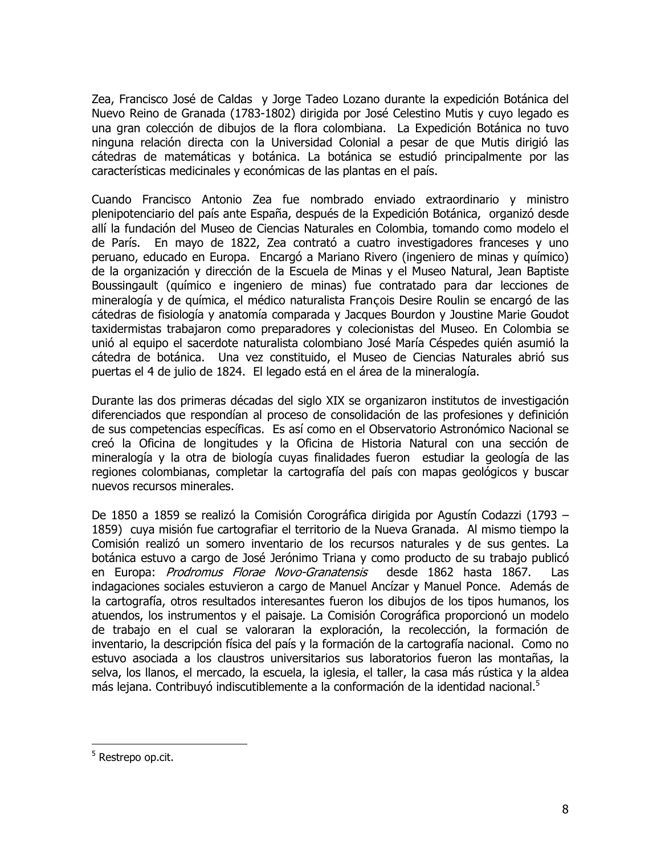Zea, Francisco José de Caldas y Jorge Tadeo Lozano durante la expedición Botánica del Nuevo Reino de Granada (1783-1802) dirigida por José Celestino Mutis y cuyo legado es una gran colección de dibujos de la flora colombiana. La Expedición Botánica no tuvo ninguna relación directa con la Universidad Colonial a pesar de que Mutis dirigió las cátedras de matemáticas y botánica. La botánica se estudió principalmente por las características medicinales y económicas de las plantas en el país.

Cuando Francisco Antonio Zea fue nombrado enviado extraordinario y ministro plenipotenciario del país ante España, después de la Expedición Botánica, organizó desde allí la fundación del Museo de Ciencias Naturales en Colombia, tomando como modelo el de París. En mayo de 1822, Zea contrató a cuatro investigadores franceses y uno peruano, educado en Europa. Encargó a Mariano Rivero (ingeniero de minas y químico) de la organización y dirección de la Escuela de Minas y el Museo Natural, Jean Baptiste Boussingault (químico e ingeniero de minas) fue contratado para dar lecciones de mineralogía y de química, el médico naturalista François Desire Roulin se encargó de las cátedras de fisiología y anatomía comparada y Jacques Bourdon y Joustine Marie Goudot taxidermistas trabajaron como preparadores y colecionistas del Museo. En Colombia se unió al equipo el sacerdote naturalista colombiano José María Céspedes quién asumió la cátedra de botánica. Una vez constituido, el Museo de Ciencias Naturales abrió sus puertas el 4 de julio de 1824. El legado está en el área de la mineralogía.

Durante las dos primeras décadas del siglo XIX se organizaron institutos de investigación diferenciados que respondían al proceso de consolidación de las profesiones y definición de sus competencias específicas. Es así como en el Observatorio Astronómico Nacional se creó la Oficina de longitudes y la Oficina de Historia Natural con una sección de mineralogía y la otra de biología cuyas finalidades fueron estudiar la geología de las regiones colombianas, completar la cartografía del país con mapas geológicos y buscar nuevos recursos minerales.

De 1850 a 1859 se realizó la Comisión Corográfica dirigida por Agustín Codazzi (1793 -1859) cuya misión fue cartografiar el territorio de la Nueva Granada. Al mismo tiempo la Comisión realizó un somero inventario de los recursos naturales y de sus gentes. La botánica estuvo a cargo de José Jerónimo Triana y como producto de su trabajo publicó en Europa: Prodromus Florae Novo-Granatensis desde 1862 hasta 1867. Las indagaciones sociales estuvieron a cargo de Manuel Ancízar y Manuel Ponce. Además de la cartografía, otros resultados interesantes fueron los dibujos de los tipos humanos, los atuendos, los instrumentos y el paisaje. La Comisión Corográfica proporcionó un modelo de trabajo en el cual se valoraran la exploración, la recolección, la formación de inventario, la descripción física del país y la formación de la cartografía nacional. Como no estuvo asociada a los claustros universitarios sus laboratorios fueron las montañas, la selva, los llanos, el mercado, la escuela, la iglesia, el taller, la casa más rústica y la aldea más lejana. Contribuyó indiscutiblemente a la conformación de la identidad nacional.<sup>5</sup>

 $5$  Restrepo op.cit.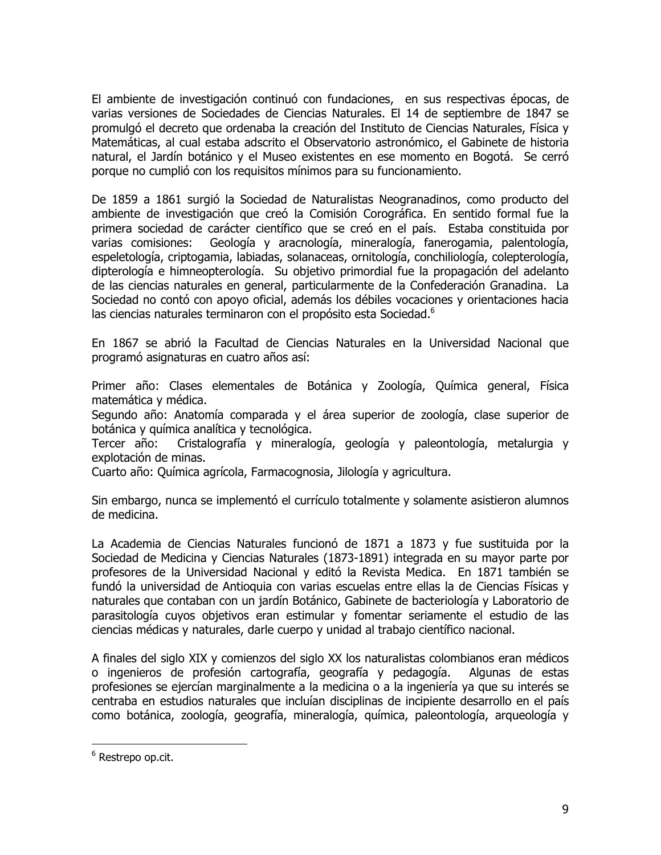El ambiente de investigación continuó con fundaciones, en sus respectivas épocas, de varias versiones de Sociedades de Ciencias Naturales. El 14 de septiembre de 1847 se promulgó el decreto que ordenaba la creación del Instituto de Ciencias Naturales, Física y Matemáticas, al cual estaba adscrito el Observatorio astronómico, el Gabinete de historia natural, el Jardín botánico y el Museo existentes en ese momento en Bogotá. Se cerró porque no cumplió con los requisitos mínimos para su funcionamiento.

De 1859 a 1861 surgió la Sociedad de Naturalistas Neogranadinos, como producto del ambiente de investigación que creó la Comisión Corográfica. En sentido formal fue la primera sociedad de carácter científico que se creó en el país. Estaba constituida por varias comisiones: Geología y aracnología, mineralogía, fanerogamia, palentología, espeletología, criptogamia, labiadas, solanaceas, ornitología, conchiliología, colepterología, dipterología e himneopterología. Su objetivo primordial fue la propagación del adelanto de las ciencias naturales en general, particularmente de la Confederación Granadina. La Sociedad no contó con apoyo oficial, además los débiles vocaciones y orientaciones hacia las ciencias naturales terminaron con el propósito esta Sociedad.<sup>6</sup>

En 1867 se abrió la Facultad de Ciencias Naturales en la Universidad Nacional que programó asignaturas en cuatro años así:

Primer año: Clases elementales de Botánica y Zoología, Química general, Física matemática y médica.

Segundo año: Anatomía comparada y el área superior de zoología, clase superior de botánica y química analítica y tecnológica.

Cristalografía y mineralogía, geología y paleontología, metalurgia y Tercer año: explotación de minas.

Cuarto año: Química agrícola, Farmacognosia, Jilología y agricultura.

Sin embargo, nunca se implementó el currículo totalmente y solamente asistieron alumnos de medicina.

La Academia de Ciencias Naturales funcionó de 1871 a 1873 y fue sustituida por la Sociedad de Medicina y Ciencias Naturales (1873-1891) integrada en su mayor parte por profesores de la Universidad Nacional y editó la Revista Medica. En 1871 también se fundó la universidad de Antioquia con varias escuelas entre ellas la de Ciencias Físicas y naturales que contaban con un jardín Botánico, Gabinete de bacteriología y Laboratorio de parasitología cuyos objetivos eran estimular y fomentar seriamente el estudio de las ciencias médicas y naturales, darle cuerpo y unidad al trabajo científico nacional.

A finales del siglo XIX y comienzos del siglo XX los naturalistas colombianos eran médicos o ingenieros de profesión cartografía, geografía y pedagogía. Algunas de estas profesiones se ejercían marginalmente a la medicina o a la ingeniería ya que su interés se centraba en estudios naturales que incluían disciplinas de incipiente desarrollo en el país como botánica, zoología, geografía, mineralogía, guímica, paleontología, argueología y

 $6$  Restrepo op.cit.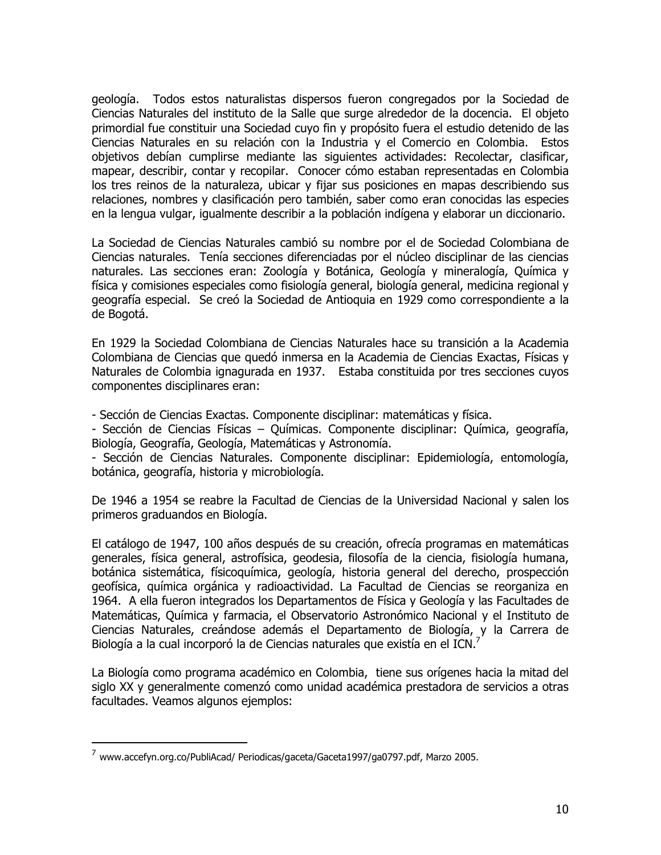geología. Todos estos naturalistas dispersos fueron congregados por la Sociedad de Ciencias Naturales del instituto de la Salle que surge alrededor de la docencia. El objeto primordial fue constituir una Sociedad cuyo fin y propósito fuera el estudio detenido de las Ciencias Naturales en su relación con la Industria y el Comercio en Colombia. Estos objetivos debían cumplirse mediante las siguientes actividades: Recolectar, clasificar, mapear, describir, contar y recopilar. Conocer cómo estaban representadas en Colombia los tres reinos de la naturaleza, ubicar y fijar sus posiciones en mapas describiendo sus relaciones, nombres y clasificación pero también, saber como eran conocidas las especies en la lengua vulgar, igualmente describir a la población indígena y elaborar un diccionario.

La Sociedad de Ciencias Naturales cambió su nombre por el de Sociedad Colombiana de Ciencias naturales. Tenía secciones diferenciadas por el núcleo disciplinar de las ciencias naturales. Las secciones eran: Zoología y Botánica, Geología y mineralogía, Química y física y comisiones especiales como fisiología general, biología general, medicina regional y geografía especial. Se creó la Sociedad de Antioquia en 1929 como correspondiente a la de Bogotá.

En 1929 la Sociedad Colombiana de Ciencias Naturales hace su transición a la Academia Colombiana de Ciencias que quedó inmersa en la Academia de Ciencias Exactas, Físicas y Naturales de Colombia ignagurada en 1937. Estaba constituida por tres secciones cuyos componentes disciplinares eran:

- Sección de Ciencias Exactas. Componente disciplinar: matemáticas y física.

- Sección de Ciencias Físicas - Químicas. Componente disciplinar: Química, geografía, Biología, Geografía, Geología, Matemáticas y Astronomía.

- Sección de Ciencias Naturales. Componente disciplinar: Epidemiología, entomología, botánica, geografía, historia y microbiología.

De 1946 a 1954 se reabre la Facultad de Ciencias de la Universidad Nacional y salen los primeros graduandos en Biología.

El catálogo de 1947, 100 años después de su creación, ofrecía programas en matemáticas generales, física general, astrofísica, geodesia, filosofía de la ciencia, fisiología humana, botánica sistemática, físicoquímica, geología, historia general del derecho, prospección geofísica, química orgánica y radioactividad. La Facultad de Ciencias se reorganiza en 1964. A ella fueron integrados los Departamentos de Física y Geología y las Facultades de Matemáticas, Química y farmacia, el Observatorio Astronómico Nacional y el Instituto de Ciencias Naturales, creándose además el Departamento de Biología, y la Carrera de Biología a la cual incorporó la de Ciencias naturales que existía en el ICN.<sup>7</sup>

La Biología como programa académico en Colombia, tiene sus orígenes hacia la mitad del siglo XX y generalmente comenzó como unidad académica prestadora de servicios a otras facultades. Veamos algunos ejemplos:

<sup>7</sup> www.accefyn.org.co/PubliAcad/ Periodicas/gaceta/Gaceta1997/ga0797.pdf, Marzo 2005.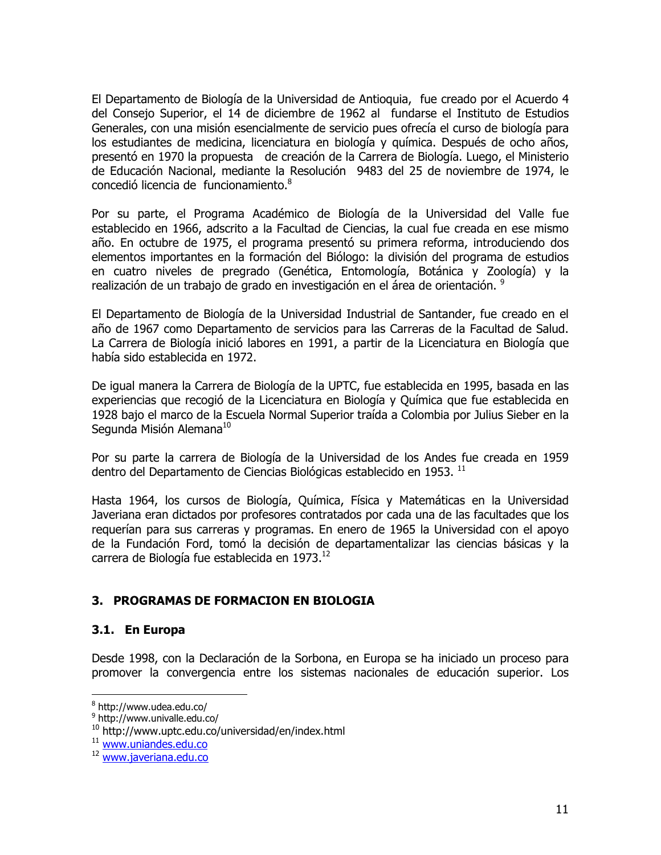El Departamento de Biología de la Universidad de Antioguia, fue creado por el Acuerdo 4 del Consejo Superior, el 14 de diciembre de 1962 al fundarse el Instituto de Estudios Generales, con una misión esencialmente de servicio pues ofrecía el curso de biología para los estudiantes de medicina, licenciatura en biología y química. Después de ocho años, presentó en 1970 la propuesta de creación de la Carrera de Biología. Luego, el Ministerio de Educación Nacional, mediante la Resolución 9483 del 25 de noviembre de 1974, le concedió licencia de funcionamiento.<sup>8</sup>

Por su parte, el Programa Académico de Biología de la Universidad del Valle fue establecido en 1966, adscrito a la Facultad de Ciencias, la cual fue creada en ese mismo año. En octubre de 1975, el programa presentó su primera reforma, introduciendo dos elementos importantes en la formación del Biólogo: la división del programa de estudios en cuatro niveles de pregrado (Genética, Entomología, Botánica y Zoología) y la realización de un trabajo de grado en investigación en el área de orientación. <sup>9</sup>

El Departamento de Biología de la Universidad Industrial de Santander, fue creado en el año de 1967 como Departamento de servicios para las Carreras de la Facultad de Salud. La Carrera de Biología inició labores en 1991, a partir de la Licenciatura en Biología que había sido establecida en 1972.

De igual manera la Carrera de Biología de la UPTC, fue establecida en 1995, basada en las experiencias que recogió de la Licenciatura en Biología y Química que fue establecida en 1928 bajo el marco de la Escuela Normal Superior traída a Colombia por Julius Sieber en la Segunda Misión Alemana<sup>10</sup>

Por su parte la carrera de Biología de la Universidad de los Andes fue creada en 1959 dentro del Departamento de Ciencias Biológicas establecido en 1953. <sup>11</sup>

Hasta 1964, los cursos de Biología, Química, Física y Matemáticas en la Universidad Javeriana eran dictados por profesores contratados por cada una de las facultades que los requerían para sus carreras y programas. En enero de 1965 la Universidad con el apoyo de la Fundación Ford, tomó la decisión de departamentalizar las ciencias básicas y la carrera de Biología fue establecida en 1973.<sup>12</sup>

# 3. PROGRAMAS DE FORMACION EN BIOLOGIA

## 3.1. En Europa

Desde 1998, con la Declaración de la Sorbona, en Europa se ha iniciado un proceso para promover la convergencia entre los sistemas nacionales de educación superior. Los

<sup>&</sup>lt;sup>8</sup> http://www.udea.edu.co/

<sup>&</sup>lt;sup>9</sup> http://www.univalle.edu.co/

<sup>&</sup>lt;sup>10</sup> http://www.uptc.edu.co/universidad/en/index.html

<sup>&</sup>lt;sup>11</sup> www.uniandes.edu.co

<sup>&</sup>lt;sup>12</sup> www.iaveriana.edu.co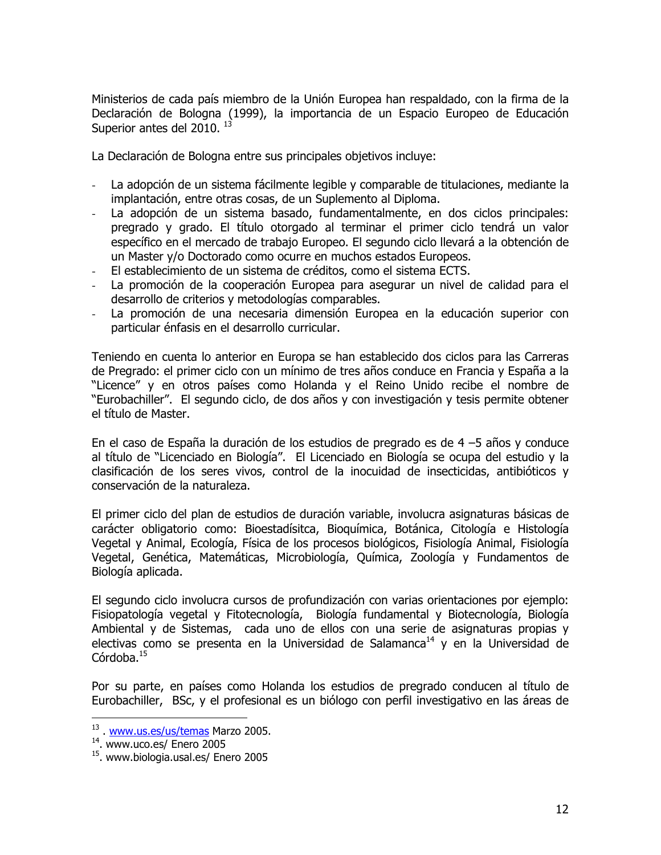Ministerios de cada país miembro de la Unión Europea han respaldado, con la firma de la Declaración de Bologna (1999), la importancia de un Espacio Europeo de Educación Superior antes del 2010.<sup>13</sup>

La Declaración de Bologna entre sus principales objetivos incluye:

- La adopción de un sistema fácilmente legible y comparable de titulaciones, mediante la  $\omega_{\rm{max}}$ implantación, entre otras cosas, de un Suplemento al Diploma.
- La adopción de un sistema basado, fundamentalmente, en dos ciclos principales; pregrado y grado. El título otorgado al terminar el primer ciclo tendrá un valor específico en el mercado de trabajo Europeo. El segundo ciclo llevará a la obtención de un Master v/o Doctorado como ocurre en muchos estados Europeos.
- El establecimiento de un sistema de créditos, como el sistema ECTS.
- La promoción de la cooperación Europea para asegurar un nivel de calidad para el desarrollo de criterios y metodologías comparables.
- $\omega_{\rm{max}}$ La promoción de una necesaria dimensión Europea en la educación superior con particular énfasis en el desarrollo curricular.

Teniendo en cuenta lo anterior en Europa se han establecido dos ciclos para las Carreras de Pregrado: el primer ciclo con un mínimo de tres años conduce en Francia y España a la "Licence" y en otros países como Holanda y el Reino Unido recibe el nombre de "Eurobachiller". El segundo ciclo, de dos años y con investigación y tesis permite obtener el título de Master.

En el caso de España la duración de los estudios de pregrado es de 4 -5 años y conduce al título de "Licenciado en Biología". El Licenciado en Biología se ocupa del estudio y la clasificación de los seres vivos, control de la inocuidad de insecticidas, antibióticos y conservación de la naturaleza.

El primer ciclo del plan de estudios de duración variable, involucra asignaturas básicas de carácter obligatorio como: Bioestadísitca, Bioquímica, Botánica, Citología e Histología Vegetal y Animal, Ecología, Física de los procesos biológicos, Fisiología Animal, Fisiología Vegetal, Genética, Matemáticas, Microbiología, Química, Zoología y Fundamentos de Biología aplicada.

El segundo ciclo involucra cursos de profundización con varias orientaciones por ejemplo: Fisiopatología vegetal y Fitotecnología, Biología fundamental y Biotecnología, Biología Ambiental y de Sistemas, cada uno de ellos con una serie de asignaturas propias y electivas como se presenta en la Universidad de Salamanca<sup>14</sup> y en la Universidad de Córdoba. $15$ 

Por su parte, en países como Holanda los estudios de pregrado conducen al título de Eurobachiller, BSc, y el profesional es un biólogo con perfil investigativo en las áreas de

<sup>&</sup>lt;sup>13</sup>. www.us.es/us/temas Marzo 2005.

 $14$ . www.uco.es/ Enero 2005

<sup>&</sup>lt;sup>15</sup>. www.biologia.usal.es/ Enero 2005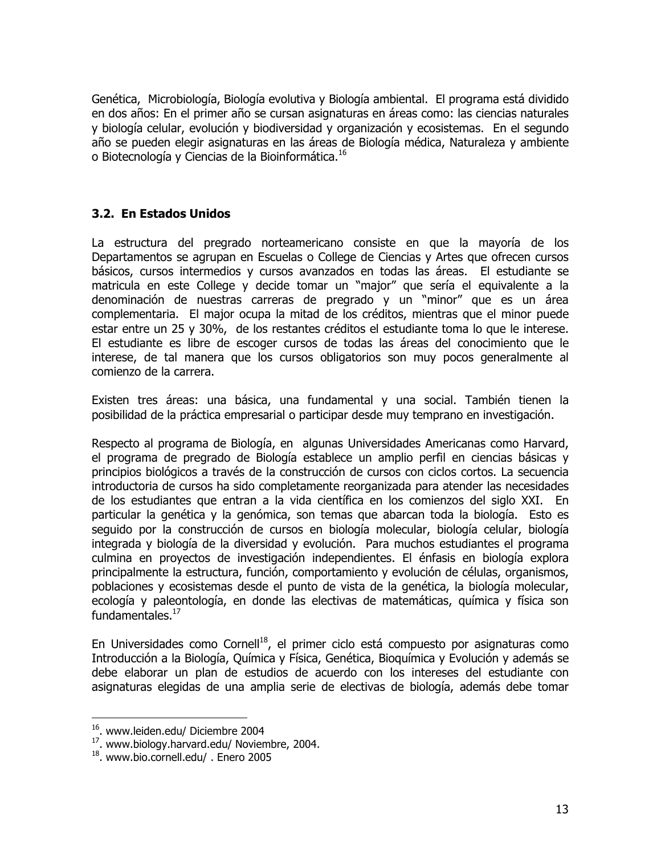Genética, Microbiología, Biología evolutiva y Biología ambiental. El programa está dividido en dos años: En el primer año se cursan asignaturas en áreas como: las ciencias naturales y biología celular, evolución y biodiversidad y organización y ecosistemas. En el segundo año se pueden elegir asignaturas en las áreas de Biología médica, Naturaleza y ambiente o Biotecnología y Ciencias de la Bioinformática.<sup>16</sup>

## 3.2. En Estados Unidos

La estructura del pregrado norteamericano consiste en que la mayoría de los Departamentos se agrupan en Escuelas o College de Ciencias y Artes que ofrecen cursos básicos, cursos intermedios y cursos avanzados en todas las áreas. El estudiante se matricula en este College y decide tomar un "major" que sería el equivalente a la denominación de nuestras carreras de pregrado y un "minor" que es un área complementaria. El major ocupa la mitad de los créditos, mientras que el minor puede estar entre un 25 y 30%, de los restantes créditos el estudiante toma lo que le interese. El estudiante es libre de escoger cursos de todas las áreas del conocimiento que le interese, de tal manera que los cursos obligatorios son muy pocos generalmente al comienzo de la carrera.

Existen tres áreas: una básica, una fundamental y una social. También tienen la posibilidad de la práctica empresarial o participar desde muy temprano en investigación.

Respecto al programa de Biología, en algunas Universidades Americanas como Harvard, el programa de pregrado de Biología establece un amplio perfil en ciencias básicas y principios biológicos a través de la construcción de cursos con ciclos cortos. La secuencia introductoria de cursos ha sido completamente reorganizada para atender las necesidades de los estudiantes que entran a la vida científica en los comienzos del siglo XXI. En particular la genética y la genómica, son temas que abarcan toda la biología. Esto es seguido por la construcción de cursos en biología molecular, biología celular, biología integrada y biología de la diversidad y evolución. Para muchos estudiantes el programa culmina en proyectos de investigación independientes. El énfasis en biología explora principalmente la estructura, función, comportamiento y evolución de células, organismos, poblaciones y ecosistemas desde el punto de vista de la genética, la biología molecular, ecología y paleontología, en donde las electivas de matemáticas, guímica y física son fundamentales. $^{17}$ 

En Universidades como Cornell<sup>18</sup>, el primer ciclo está compuesto por asignaturas como Introducción a la Biología, Química y Física, Genética, Bioquímica y Evolución y además se debe elaborar un plan de estudios de acuerdo con los intereses del estudiante con asignaturas elegidas de una amplia serie de electivas de biología, además debe tomar

<sup>&</sup>lt;sup>16</sup>. www.leiden.edu/ Diciembre 2004

<sup>&</sup>lt;sup>17</sup>. www.biology.harvard.edu/ Noviembre, 2004.

<sup>&</sup>lt;sup>18</sup>. www.bio.cornell.edu/ . Enero 2005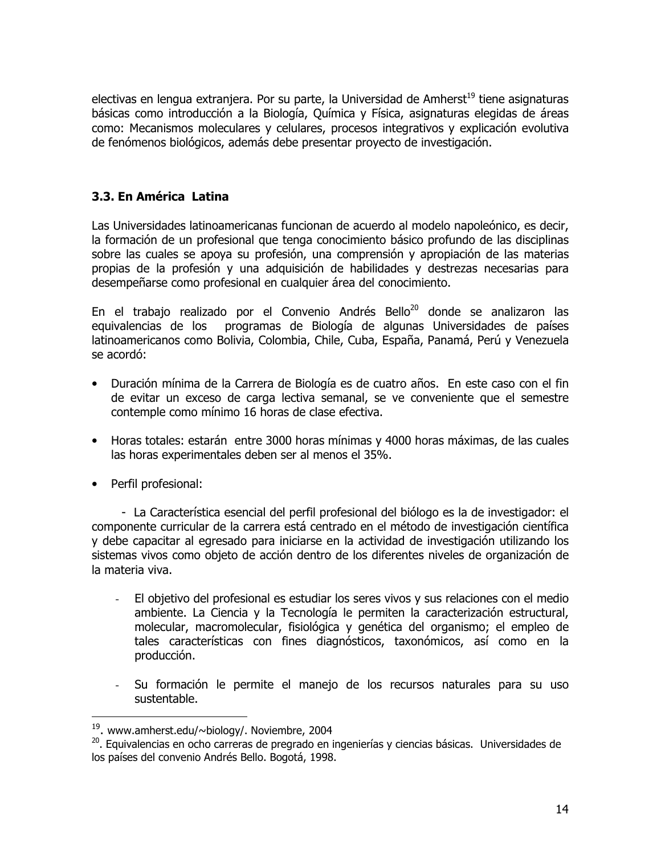electivas en lengua extranjera. Por su parte, la Universidad de Amherst<sup>19</sup> tiene asignaturas básicas como introducción a la Biología, Química y Física, asignaturas elegidas de áreas como: Mecanismos moleculares y celulares, procesos integrativos y explicación evolutiva de fenómenos biológicos, además debe presentar proyecto de investigación.

# 3.3. En América Latina

Las Universidades latinoamericanas funcionan de acuerdo al modelo napoleónico, es decir, la formación de un profesional que tenga conocimiento básico profundo de las disciplinas sobre las cuales se apoya su profesión, una comprensión y apropiación de las materias propias de la profesión y una adquisición de habilidades y destrezas necesarias para desempeñarse como profesional en cualquier área del conocimiento.

En el trabajo realizado por el Convenio Andrés Bello<sup>20</sup> donde se analizaron las equivalencias de los programas de Biología de algunas Universidades de países latinoamericanos como Bolivia, Colombia, Chile, Cuba, España, Panamá, Perú y Venezuela se acordó:

- · Duración mínima de la Carrera de Biología es de cuatro años. En este caso con el fin de evitar un exceso de carga lectiva semanal, se ve conveniente que el semestre contemple como mínimo 16 horas de clase efectiva.
- Horas totales: estarán entre 3000 horas mínimas y 4000 horas máximas, de las cuales las horas experimentales deben ser al menos el 35%.
- Perfil profesional:

- La Característica esencial del perfil profesional del biólogo es la de investigador: el componente curricular de la carrera está centrado en el método de investigación científica y debe capacitar al egresado para iniciarse en la actividad de investigación utilizando los sistemas vivos como objeto de acción dentro de los diferentes niveles de organización de la materia viva.

- El objetivo del profesional es estudiar los seres vivos y sus relaciones con el medio  $\omega$  . ambiente. La Ciencia y la Tecnología le permiten la caracterización estructural, molecular, macromolecular, fisiológica y genética del organismo; el empleo de tales características con fines diagnósticos, taxonómicos, así como en la producción.
- Su formación le permite el manejo de los recursos naturales para su uso sustentable.

<sup>&</sup>lt;sup>19</sup>. www.amherst.edu/~biology/. Noviembre, 2004

<sup>20.</sup> Equivalencias en ocho carreras de pregrado en ingenierías y ciencias básicas. Universidades de los países del convenio Andrés Bello. Bogotá, 1998.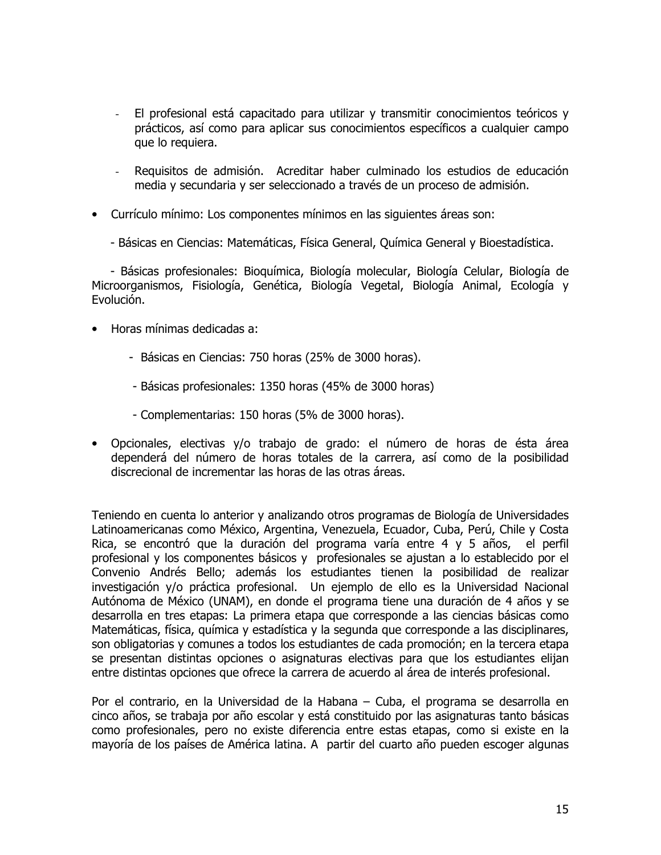- El profesional está capacitado para utilizar y transmitir conocimientos teóricos y prácticos, así como para aplicar sus conocimientos específicos a cualquier campo que lo requiera.
- Requisitos de admisión. Acreditar haber culminado los estudios de educación media y secundaria y ser seleccionado a través de un proceso de admisión.
- Currículo mínimo: Los componentes mínimos en las siguientes áreas son:
	- Básicas en Ciencias: Matemáticas, Física General, Química General y Bioestadística.

- Básicas profesionales: Bioquímica, Biología molecular, Biología Celular, Biología de Microorganismos, Fisiología, Genética, Biología Vegetal, Biología Animal, Ecología y Evolución.

- Horas mínimas dedicadas a:
	- Básicas en Ciencias: 750 horas (25% de 3000 horas).
	- Básicas profesionales: 1350 horas (45% de 3000 horas)
	- Complementarias: 150 horas (5% de 3000 horas).
- · Opcionales, electivas y/o trabajo de grado: el número de horas de ésta área dependerá del número de horas totales de la carrera, así como de la posibilidad discrecional de incrementar las horas de las otras áreas.

Teniendo en cuenta lo anterior y analizando otros programas de Biología de Universidades Latinoamericanas como México, Argentina, Venezuela, Ecuador, Cuba, Perú, Chile y Costa Rica, se encontró que la duración del programa varía entre 4 y 5 años, el perfil profesional y los componentes básicos y profesionales se ajustan a lo establecido por el Convenio Andrés Bello; además los estudiantes tienen la posibilidad de realizar investigación y/o práctica profesional. Un ejemplo de ello es la Universidad Nacional Autónoma de México (UNAM), en donde el programa tiene una duración de 4 años y se desarrolla en tres etapas: La primera etapa que corresponde a las ciencias básicas como Matemáticas, física, química y estadística y la segunda que corresponde a las disciplinares, son obligatorias y comunes a todos los estudiantes de cada promoción; en la tercera etapa se presentan distintas opciones o asignaturas electivas para que los estudiantes elijan entre distintas opciones que ofrece la carrera de acuerdo al área de interés profesional.

Por el contrario, en la Universidad de la Habana – Cuba, el programa se desarrolla en cinco años, se trabaja por año escolar y está constituido por las asignaturas tanto básicas como profesionales, pero no existe diferencia entre estas etapas, como si existe en la mayoría de los países de América latina. A partir del cuarto año pueden escoger algunas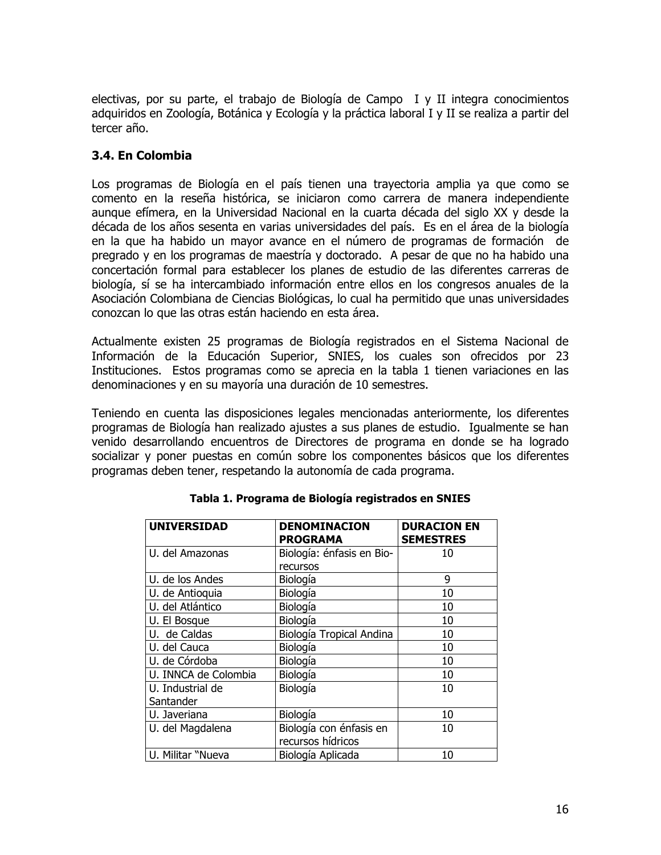electivas, por su parte, el trabajo de Biología de Campo I y II integra conocimientos adquiridos en Zoología, Botánica y Ecología y la práctica laboral I y II se realiza a partir del tercer año.

# 3.4. En Colombia

Los programas de Biología en el país tienen una trayectoria amplia ya que como se comento en la reseña histórica, se iniciaron como carrera de manera independiente aunque efímera, en la Universidad Nacional en la cuarta década del siglo XX y desde la década de los años sesenta en varias universidades del país. Es en el área de la biología en la que ha habido un mayor avance en el número de programas de formación de pregrado y en los programas de maestría y doctorado. A pesar de que no ha habido una concertación formal para establecer los planes de estudio de las diferentes carreras de biología, sí se ha intercambiado información entre ellos en los congresos anuales de la Asociación Colombiana de Ciencias Biológicas, lo cual ha permitido que unas universidades conozcan lo que las otras están haciendo en esta área.

Actualmente existen 25 programas de Biología registrados en el Sistema Nacional de Información de la Educación Superior, SNIES, los cuales son ofrecidos por 23 Instituciones. Estos programas como se aprecia en la tabla 1 tienen variaciones en las denominaciones y en su mayoría una duración de 10 semestres.

Teniendo en cuenta las disposiciones legales mencionadas anteriormente, los diferentes programas de Biología han realizado ajustes a sus planes de estudio. Igualmente se han venido desarrollando encuentros de Directores de programa en donde se ha logrado socializar y poner puestas en común sobre los componentes básicos que los diferentes programas deben tener, respetando la autonomía de cada programa.

| <b>UNIVERSIDAD</b>            | <b>DENOMINACION</b><br><b>PROGRAMA</b>       | <b>DURACION EN</b><br><b>SEMESTRES</b> |
|-------------------------------|----------------------------------------------|----------------------------------------|
| U. del Amazonas               | Biología: énfasis en Bio-                    | 10                                     |
|                               | recursos                                     |                                        |
| U. de los Andes               | Biología                                     | 9                                      |
| U. de Antioquia               | Biología                                     | 10                                     |
| U. del Atlántico              | Biología                                     | 10                                     |
| U. El Bosque                  | Biología                                     | 10                                     |
| U. de Caldas                  | Biología Tropical Andina                     | 10                                     |
| U. del Cauca                  | Biología                                     | 10                                     |
| U. de Córdoba                 | Biología                                     | 10                                     |
| U. INNCA de Colombia          | Biología                                     | 10                                     |
| U. Industrial de<br>Santander | Biología                                     | 10                                     |
| U. Javeriana                  | Biología                                     | 10                                     |
| U. del Magdalena              | Biología con énfasis en<br>recursos hídricos | 10                                     |
| U. Militar "Nueva             | Biología Aplicada                            | 10                                     |

Tabla 1. Programa de Biología registrados en SNIES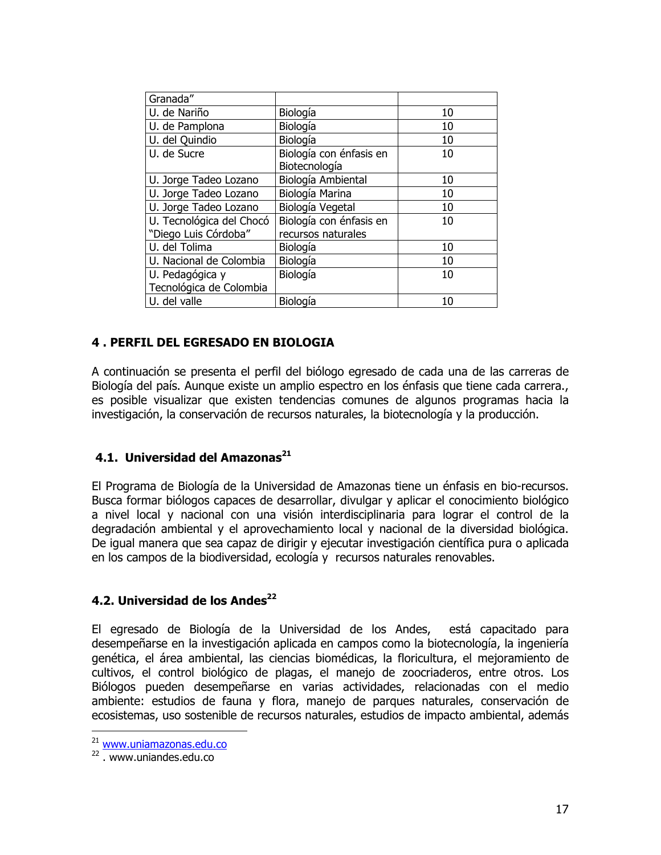| Granada"                 |                         |    |
|--------------------------|-------------------------|----|
| U. de Nariño             | Biología                | 10 |
| U. de Pamplona           | Biología                | 10 |
| U. del Quindio           | Biología                | 10 |
| U. de Sucre              | Biología con énfasis en | 10 |
|                          | Biotecnología           |    |
| U. Jorge Tadeo Lozano    | Biología Ambiental      | 10 |
| U. Jorge Tadeo Lozano    | Biología Marina         | 10 |
| U. Jorge Tadeo Lozano    | Biología Vegetal        | 10 |
| U. Tecnológica del Chocó | Biología con énfasis en | 10 |
| "Diego Luis Córdoba"     | recursos naturales      |    |
| U. del Tolima            | Biología                | 10 |
| U. Nacional de Colombia  | Biología                | 10 |
| U. Pedagógica y          | Biología                | 10 |
| Tecnológica de Colombia  |                         |    |
| U. del valle             | Biología                | 10 |
|                          |                         |    |

## 4. PERFIL DEL EGRESADO EN BIOLOGIA

A continuación se presenta el perfil del biólogo egresado de cada una de las carreras de Biología del país. Aunque existe un amplio espectro en los énfasis que tiene cada carrera. es posible visualizar que existen tendencias comunes de algunos programas hacia la investigación, la conservación de recursos naturales, la biotecnología y la producción.

## 4.1. Universidad del Amazonas<sup>21</sup>

El Programa de Biología de la Universidad de Amazonas tiene un énfasis en bio-recursos. Busca formar biólogos capaces de desarrollar, divulgar y aplicar el conocimiento biológico a nivel local y nacional con una visión interdisciplinaria para lograr el control de la degradación ambiental y el aprovechamiento local y nacional de la diversidad biológica. De igual manera que sea capaz de dirigir y ejecutar investigación científica pura o aplicada en los campos de la biodiversidad, ecología y recursos naturales renovables.

## 4.2. Universidad de los Andes<sup>22</sup>

El egresado de Biología de la Universidad de los Andes, está capacitado para desempeñarse en la investigación aplicada en campos como la biotecnología, la ingeniería genética, el área ambiental, las ciencias biomédicas, la floricultura, el mejoramiento de cultivos, el control biológico de plagas, el manejo de zoocriaderos, entre otros. Los Biólogos pueden desempeñarse en varias actividades, relacionadas con el medio ambiente: estudios de fauna y flora, manejo de parques naturales, conservación de ecosistemas, uso sostenible de recursos naturales, estudios de impacto ambiental, además

<sup>&</sup>lt;sup>21</sup> www.uniamazonas.edu.co

<sup>&</sup>lt;sup>22</sup> www.uniandes.edu.co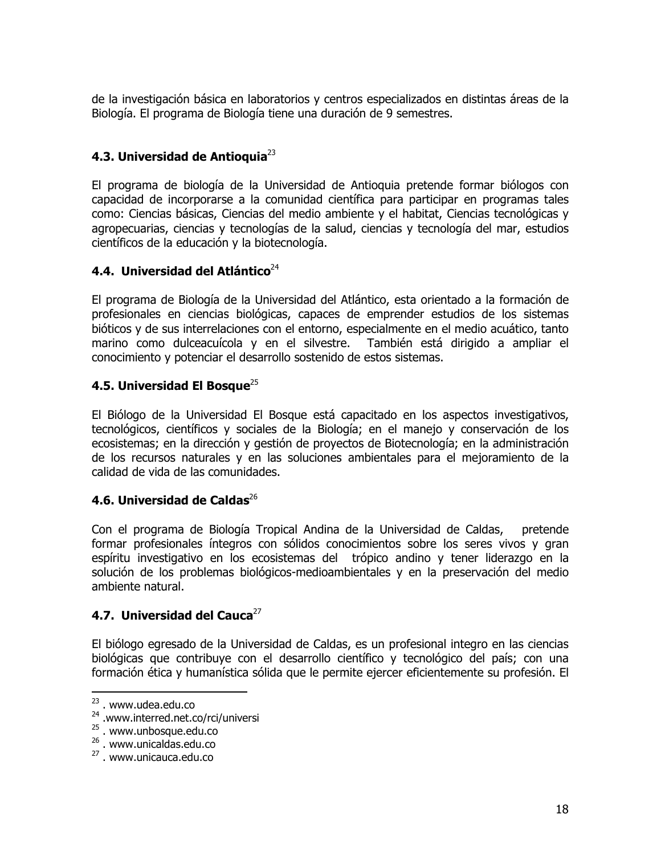de la investigación básica en laboratorios y centros especializados en distintas áreas de la Biología. El programa de Biología tiene una duración de 9 semestres.

# 4.3. Universidad de Antioquia $^{23}$

El programa de biología de la Universidad de Antioguia pretende formar biólogos con capacidad de incorporarse a la comunidad científica para participar en programas tales como: Ciencias básicas, Ciencias del medio ambiente y el habitat, Ciencias tecnológicas y agropecuarias, ciencias y tecnologías de la salud, ciencias y tecnología del mar, estudios científicos de la educación y la biotecnología.

# 4.4. Universidad del Atlántico $^{24}$

El programa de Biología de la Universidad del Atlántico, esta orientado a la formación de profesionales en ciencias biológicas, capaces de emprender estudios de los sistemas bióticos y de sus interrelaciones con el entorno, especialmente en el medio acuático, tanto marino como dulceacuícola y en el silvestre. También está dirigido a ampliar el conocimiento y potenciar el desarrollo sostenido de estos sistemas.

# 4.5. Universidad El Bosque $^{25}$

El Biólogo de la Universidad El Bosque está capacitado en los aspectos investigativos, tecnológicos, científicos y sociales de la Biología; en el manejo y conservación de los ecosistemas; en la dirección y gestión de proyectos de Biotecnología; en la administración de los recursos naturales y en las soluciones ambientales para el mejoramiento de la calidad de vida de las comunidades.

## 4.6. Universidad de Caldas $^{26}$

Con el programa de Biología Tropical Andina de la Universidad de Caldas, pretende formar profesionales íntegros con sólidos conocimientos sobre los seres vivos y gran espíritu investigativo en los ecosistemas del trópico andino y tener liderazgo en la solución de los problemas biológicos-medioambientales y en la preservación del medio ambiente natural.

## 4.7. Universidad del Cauca $^{27}$

El biólogo egresado de la Universidad de Caldas, es un profesional integro en las ciencias biológicas que contribuye con el desarrollo científico y tecnológico del país; con una formación ética y humanística sólida que le permite ejercer eficientemente su profesión. El

<sup>&</sup>lt;sup>23</sup>. www.udea.edu.co

<sup>&</sup>lt;sup>24</sup> .www.interred.net.co/rci/universi

<sup>&</sup>lt;sup>25</sup> . www.unbosque.edu.co

<sup>&</sup>lt;sup>26</sup>. www.unicaldas.edu.co

<sup>&</sup>lt;sup>27</sup>. www.unicauca.edu.co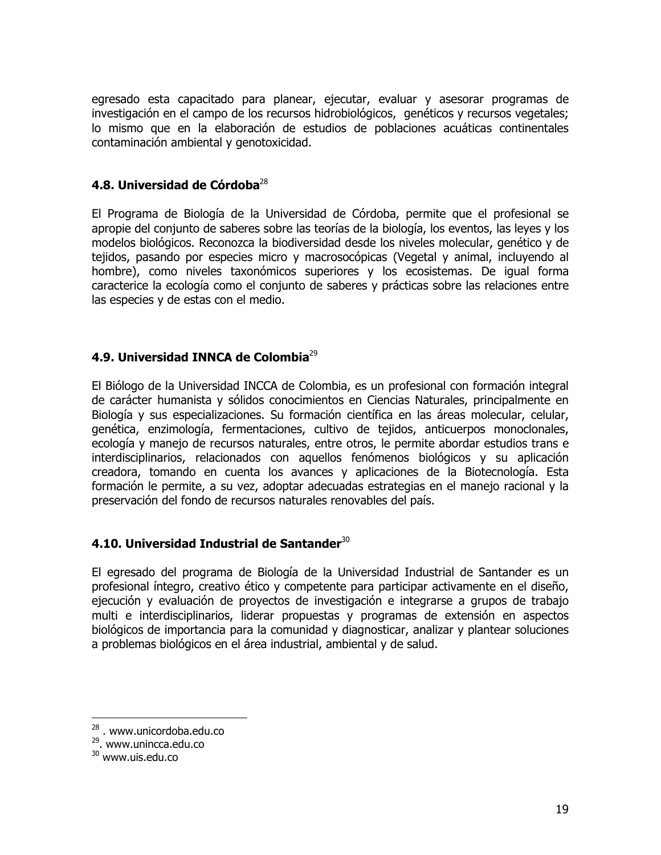egresado esta capacitado para planear, ejecutar, evaluar y asesorar programas de investigación en el campo de los recursos hidrobiológicos, genéticos y recursos vegetales; lo mismo que en la elaboración de estudios de poblaciones acuáticas continentales contaminación ambiental y genotoxicidad.

#### 4.8. Universidad de Córdoba $^{28}$

El Programa de Biología de la Universidad de Córdoba, permite que el profesional se apropie del conjunto de saberes sobre las teorías de la biología, los eventos, las leyes y los modelos biológicos. Reconozca la biodiversidad desde los niveles molecular, genético y de tejidos, pasando por especies micro y macrosocópicas (Vegetal y animal, incluyendo al hombre), como niveles taxonómicos superiores y los ecosistemas. De igual forma caracterice la ecología como el conjunto de saberes y prácticas sobre las relaciones entre las especies y de estas con el medio.

# 4.9. Universidad INNCA de Colombia<sup>29</sup>

El Biólogo de la Universidad INCCA de Colombia, es un profesional con formación integral de carácter humanista y sólidos conocimientos en Ciencias Naturales, principalmente en Biología y sus especializaciones. Su formación científica en las áreas molecular, celular, genética, enzimología, fermentaciones, cultivo de tejidos, anticuerpos monoclonales, ecología y manejo de recursos naturales, entre otros, le permite abordar estudios trans e interdisciplinarios, relacionados con aquellos fenómenos biológicos y su aplicación creadora, tomando en cuenta los avances y aplicaciones de la Biotecnología. Esta formación le permite, a su vez, adoptar adecuadas estrategias en el manejo racional y la preservación del fondo de recursos naturales renovables del país.

## 4.10. Universidad Industrial de Santander $^{30}$

El egresado del programa de Biología de la Universidad Industrial de Santander es un profesional íntegro, creativo ético y competente para participar activamente en el diseño, ejecución y evaluación de proyectos de investigación e integrarse a grupos de trabajo multi e interdisciplinarios, liderar propuestas y programas de extensión en aspectos biológicos de importancia para la comunidad y diagnosticar, analizar y plantear soluciones a problemas biológicos en el área industrial, ambiental y de salud.

 $28$ . www.unicordoba.edu.co

<sup>&</sup>lt;sup>29</sup>. www.unincca.edu.co

<sup>&</sup>lt;sup>30</sup> www.uis.edu.co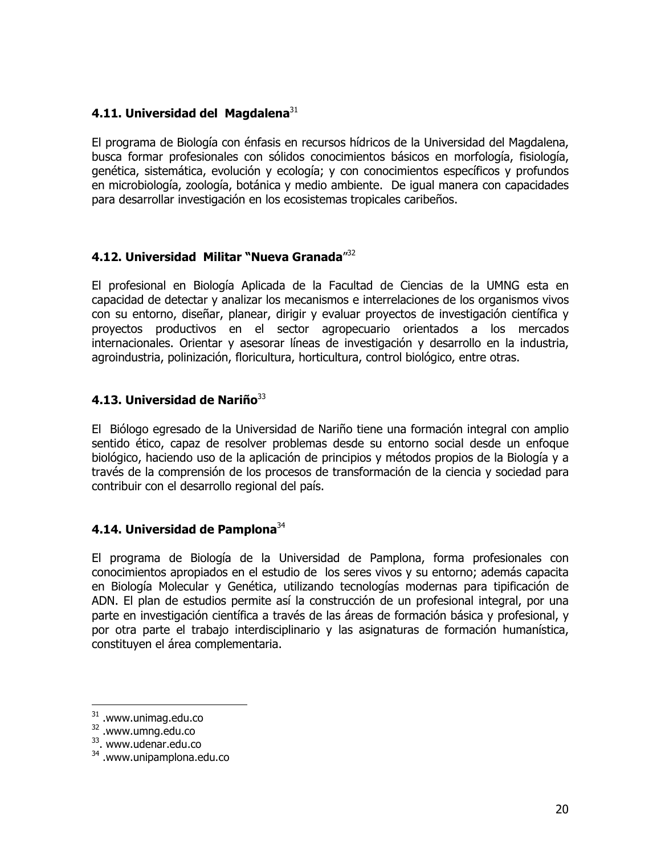## 4.11. Universidad del Magdalena<sup>31</sup>

El programa de Biología con énfasis en recursos hídricos de la Universidad del Magdalena, busca formar profesionales con sólidos conocimientos básicos en morfología, fisiología, genética, sistemática, evolución y ecología; y con conocimientos específicos y profundos en microbiología, zoología, botánica y medio ambiente. De igual manera con capacidades para desarrollar investigación en los ecosistemas tropicales caribeños.

# 4.12. Universidad Militar "Nueva Granada"32

El profesional en Biología Aplicada de la Facultad de Ciencias de la UMNG esta en capacidad de detectar y analizar los mecanismos e interrelaciones de los organismos vivos con su entorno, diseñar, planear, dirigir y evaluar proyectos de investigación científica y proyectos productivos en el sector agropecuario orientados a los mercados internacionales. Orientar y asesorar líneas de investigación y desarrollo en la industria, agroindustria, polinización, floricultura, horticultura, control biológico, entre otras.

# 4.13. Universidad de Nariño<sup>33</sup>

El Biólogo egresado de la Universidad de Nariño tiene una formación integral con amplio sentido ético, capaz de resolver problemas desde su entorno social desde un enfoque biológico, haciendo uso de la aplicación de principios y métodos propios de la Biología y a través de la comprensión de los procesos de transformación de la ciencia y sociedad para contribuir con el desarrollo regional del país.

## 4.14. Universidad de Pamplona<sup>34</sup>

El programa de Biología de la Universidad de Pamplona, forma profesionales con conocimientos apropiados en el estudio de los seres vivos y su entorno; además capacita en Biología Molecular y Genética, utilizando tecnologías modernas para tipificación de ADN. El plan de estudios permite así la construcción de un profesional integral, por una parte en investigación científica a través de las áreas de formación básica y profesional, y por otra parte el trabajo interdisciplinario y las asignaturas de formación humanística, constituyen el área complementaria.

 $31$  .www.unimag.edu.co

<sup>&</sup>lt;sup>32</sup> .www.umng.edu.co

<sup>&</sup>lt;sup>33</sup>. www.udenar.edu.co

<sup>&</sup>lt;sup>34</sup> .www.unipamplona.edu.co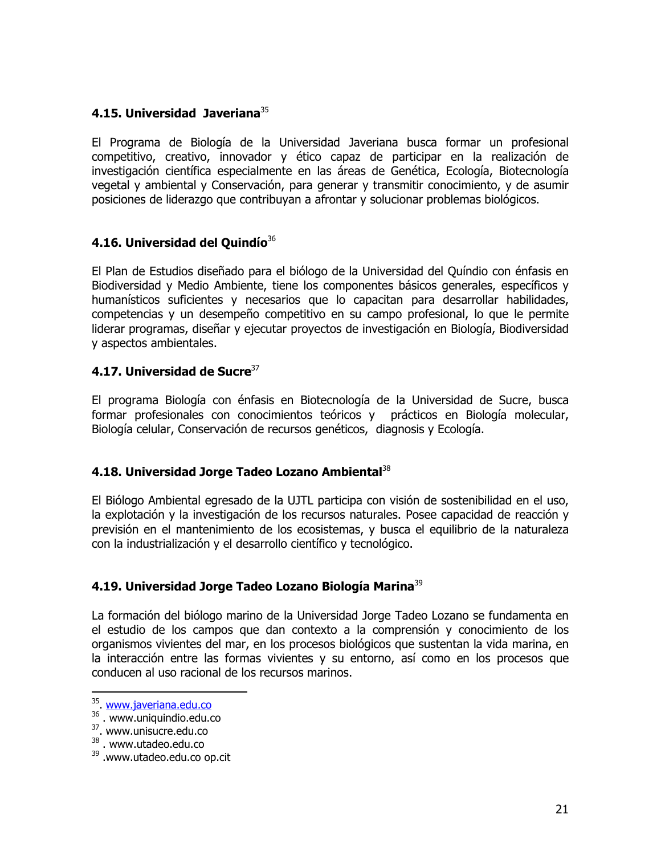## 4.15. Universidad Javeriana<sup>35</sup>

El Programa de Biología de la Universidad Javeriana busca formar un profesional competitivo, creativo, innovador y ético capaz de participar en la realización de investigación científica especialmente en las áreas de Genética, Ecología, Biotecnología vegetal y ambiental y Conservación, para generar y transmitir conocimiento, y de asumir posiciones de liderazgo que contribuyan a afrontar y solucionar problemas biológicos.

# 4.16. Universidad del Quindío<sup>36</sup>

El Plan de Estudios diseñado para el biólogo de la Universidad del Quíndio con énfasis en Biodiversidad y Medio Ambiente, tiene los componentes básicos generales, específicos y humanísticos suficientes y necesarios que lo capacitan para desarrollar habilidades, competencias y un desempeño competitivo en su campo profesional, lo que le permite liderar programas, diseñar y ejecutar proyectos de investigación en Biología, Biodiversidad y aspectos ambientales.

# 4.17. Universidad de Sucre $37$

El programa Biología con énfasis en Biotecnología de la Universidad de Sucre, busca formar profesionales con conocimientos teóricos y prácticos en Biología molecular, Biología celular, Conservación de recursos genéticos, diagnosis y Ecología.

## 4.18. Universidad Jorge Tadeo Lozano Ambiental<sup>38</sup>

El Biólogo Ambiental egresado de la UJTL participa con visión de sostenibilidad en el uso, la explotación y la investigación de los recursos naturales. Posee capacidad de reacción y previsión en el mantenimiento de los ecosistemas, y busca el equilibrio de la naturaleza con la industrialización y el desarrollo científico y tecnológico.

# 4.19. Universidad Jorge Tadeo Lozano Biología Marina<sup>39</sup>

La formación del biólogo marino de la Universidad Jorge Tadeo Lozano se fundamenta en el estudio de los campos que dan contexto a la comprensión y conocimiento de los organismos vivientes del mar, en los procesos biológicos que sustentan la vida marina, en la interacción entre las formas vivientes y su entorno, así como en los procesos que conducen al uso racional de los recursos marinos.

<sup>35</sup> www.javeriana.edu.co

 $36.$  WWW.uniquindio.edu.co<br> $37.$  WWW.unisucre.edu.co

<sup>&</sup>lt;sup>38</sup>. www.utadeo.edu.co

<sup>&</sup>lt;sup>39</sup>.www.utadeo.edu.co op.cit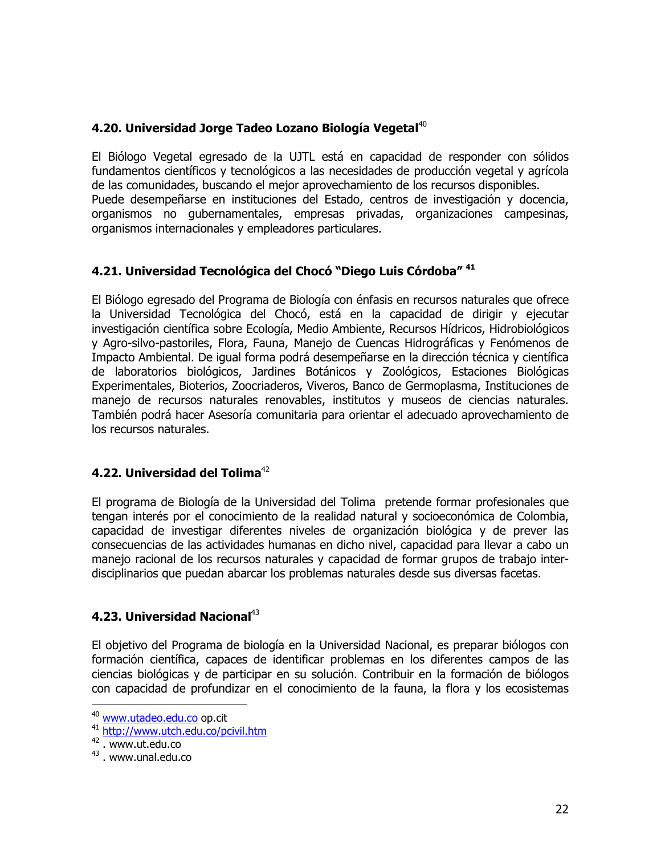# 4.20. Universidad Jorge Tadeo Lozano Biología Vegetal<sup>40</sup>

El Biólogo Vegetal egresado de la UJTL está en capacidad de responder con sólidos fundamentos científicos y tecnológicos a las necesidades de producción vegetal y agrícola de las comunidades, buscando el mejor aprovechamiento de los recursos disponibles. Puede desempeñarse en instituciones del Estado, centros de investigación y docencia, organismos no gubernamentales, empresas privadas, organizaciones campesinas, organismos internacionales y empleadores particulares.

# 4.21. Universidad Tecnológica del Chocó "Diego Luis Córdoba" 41

El Biólogo egresado del Programa de Biología con énfasis en recursos naturales que ofrece la Universidad Tecnológica del Chocó, está en la capacidad de dirigir y ejecutar investigación científica sobre Ecología, Medio Ambiente, Recursos Hídricos, Hidrobiológicos y Agro-silvo-pastoriles, Flora, Fauna, Manejo de Cuencas Hidrográficas y Fenómenos de Impacto Ambiental. De igual forma podrá desempeñarse en la dirección técnica y científica de laboratorios biológicos, Jardines Botánicos y Zoológicos, Estaciones Biológicas Experimentales, Bioterios, Zoocriaderos, Viveros, Banco de Germoplasma, Instituciones de manejo de recursos naturales renovables, institutos y museos de ciencias naturales. También podrá hacer Asesoría comunitaria para orientar el adecuado aprovechamiento de los recursos naturales.

## 4.22. Universidad del Tolima<sup>42</sup>

El programa de Biología de la Universidad del Tolima pretende formar profesionales que tengan interés por el conocimiento de la realidad natural y socioeconómica de Colombia, capacidad de investigar diferentes niveles de organización biológica y de prever las consecuencias de las actividades humanas en dicho nivel, capacidad para llevar a cabo un manejo racional de los recursos naturales y capacidad de formar grupos de trabajo interdisciplinarios que puedan abarcar los problemas naturales desde sus diversas facetas.

## 4.23. Universidad Nacional<sup>43</sup>

El objetivo del Programa de biología en la Universidad Nacional, es preparar biólogos con formación científica, capaces de identificar problemas en los diferentes campos de las ciencias biológicas y de participar en su solución. Contribuir en la formación de biólogos con capacidad de profundizar en el conocimiento de la fauna, la flora y los ecosistemas

<sup>40</sup> www.utadeo.edu.co op.cit

<sup>&</sup>lt;sup>41</sup> http://www.utch.edu.co/pcivil.htm

 $42$ . www.ut.edu.co

<sup>&</sup>lt;sup>43</sup>. www.unal.edu.co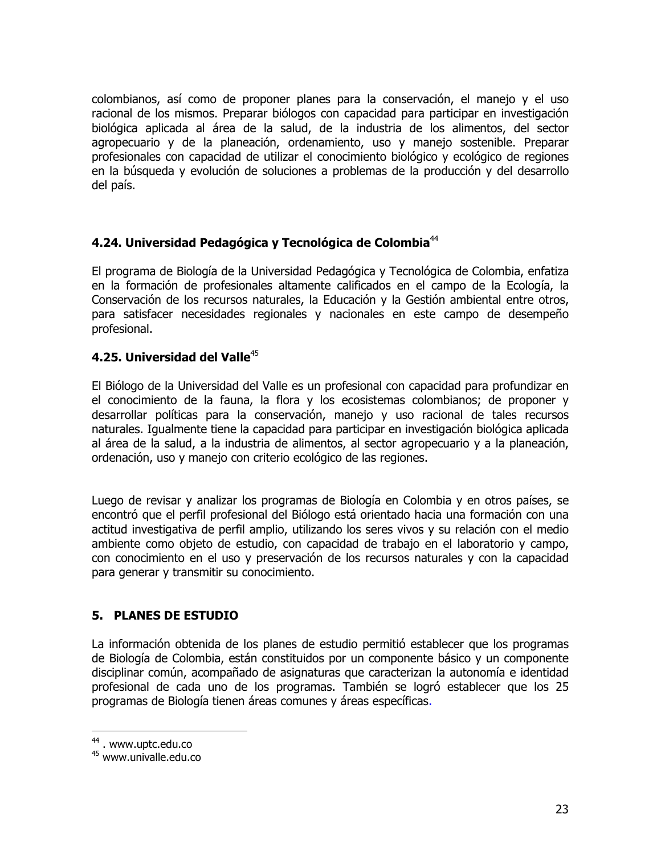colombianos, así como de proponer planes para la conservación, el manejo y el uso racional de los mismos. Preparar biólogos con capacidad para participar en investigación biológica aplicada al área de la salud, de la industria de los alimentos, del sector agropecuario y de la planeación, ordenamiento, uso y manejo sostenible. Preparar profesionales con capacidad de utilizar el conocimiento biológico y ecológico de regiones en la búsqueda y evolución de soluciones a problemas de la producción y del desarrollo del país.

# 4.24. Universidad Pedagógica y Tecnológica de Colombia<sup>44</sup>

El programa de Biología de la Universidad Pedagógica y Tecnológica de Colombia, enfatiza en la formación de profesionales altamente calificados en el campo de la Ecología, la Conservación de los recursos naturales, la Educación y la Gestión ambiental entre otros, para satisfacer necesidades regionales y nacionales en este campo de desempeño profesional.

## 4.25. Universidad del Valle<sup>45</sup>

El Biólogo de la Universidad del Valle es un profesional con capacidad para profundizar en el conocimiento de la fauna, la flora y los ecosistemas colombianos; de proponer y desarrollar políticas para la conservación, manejo y uso racional de tales recursos naturales. Iqualmente tiene la capacidad para participar en investigación biológica aplicada al área de la salud, a la industria de alimentos, al sector agropecuario y a la planeación, ordenación, uso y manejo con criterio ecológico de las regiones.

Luego de revisar y analizar los programas de Biología en Colombia y en otros países, se encontró que el perfil profesional del Biólogo está orientado hacia una formación con una actitud investigativa de perfil amplio, utilizando los seres vivos y su relación con el medio ambiente como obieto de estudio, con capacidad de trabajo en el laboratorio y campo, con conocimiento en el uso y preservación de los recursos naturales y con la capacidad para generar y transmitir su conocimiento.

## **5. PLANES DE ESTUDIO**

La información obtenida de los planes de estudio permitió establecer que los programas de Biología de Colombia, están constituidos por un componente básico y un componente disciplinar común, acompañado de asignaturas que caracterizan la autonomía e identidad profesional de cada uno de los programas. También se logró establecer que los 25 programas de Biología tienen áreas comunes y áreas específicas.

<sup>&</sup>lt;sup>44</sup>. www.uptc.edu.co

<sup>&</sup>lt;sup>45</sup> www.univalle.edu.co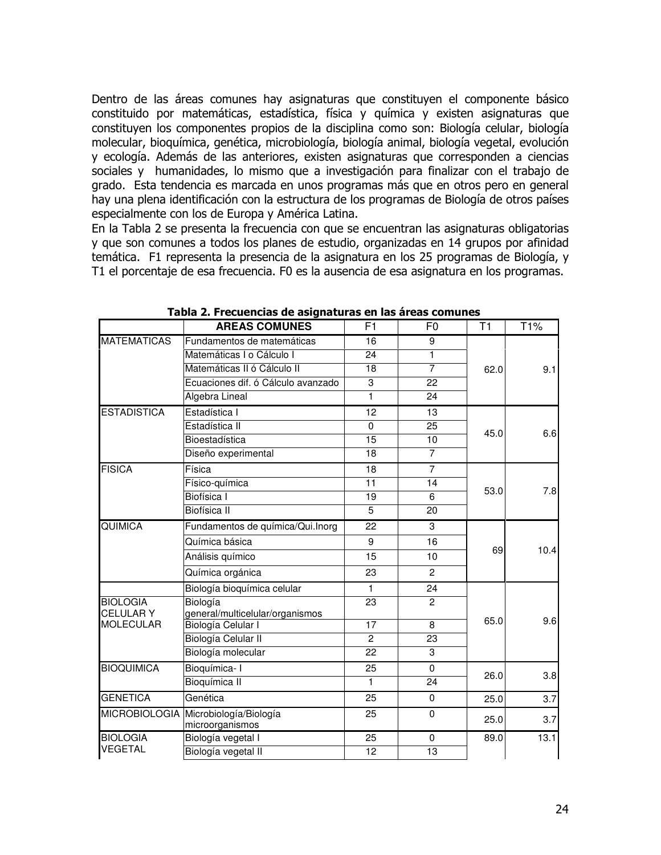Dentro de las áreas comunes hay asignaturas que constituyen el componente básico constituido por matemáticas, estadística, física y química y existen asignaturas que constituyen los componentes propios de la disciplina como son: Biología celular, biología molecular, bioquímica, genética, microbiología, biología animal, biología vegetal, evolución y ecología. Además de las anteriores, existen asignaturas que corresponden a ciencias sociales y humanidades, lo mismo que a investigación para finalizar con el trabajo de grado. Esta tendencia es marcada en unos programas más que en otros pero en general hay una plena identificación con la estructura de los programas de Biología de otros países especialmente con los de Europa y América Latina.

En la Tabla 2 se presenta la frecuencia con que se encuentran las asignaturas obligatorias y que son comunes a todos los planes de estudio, organizadas en 14 grupos por afinidad temática. F1 representa la presencia de la asignatura en los 25 programas de Biología, y T1 el porcentaje de esa frecuencia. F0 es la ausencia de esa asignatura en los programas.

|                    | <b>AREAS COMUNES</b>                 | F <sub>1</sub> | F <sub>0</sub> | T <sub>1</sub> | T1%  |
|--------------------|--------------------------------------|----------------|----------------|----------------|------|
| <b>MATEMATICAS</b> | Fundamentos de matemáticas           | 16             | 9              |                |      |
|                    | Matemáticas I o Cálculo I            | 24             | 1              |                |      |
|                    | Matemáticas II ó Cálculo II          | 18             | $\overline{7}$ | 62.0           | 9.1  |
|                    | Ecuaciones dif. ó Cálculo avanzado   | 3              | 22             |                |      |
|                    | Algebra Lineal                       | 1              | 24             |                |      |
| <b>ESTADISTICA</b> | Estadística I                        | 12             | 13             |                |      |
|                    | Estadística II                       | $\mathbf 0$    | 25             |                |      |
|                    | Bioestadística                       | 15             | 10             | 45.0           | 6.6  |
|                    | Diseño experimental                  | 18             | $\overline{7}$ |                |      |
| <b>FISICA</b>      | Física                               | 18             | $\overline{7}$ |                |      |
|                    | Físico-química                       | 11             | 14             |                | 7.8  |
|                    | Biofísica I                          | 19             | 6              | 53.0           |      |
|                    | <b>Biofísica</b> II                  | 5              | 20             |                |      |
| QUIMICA            | Fundamentos de química/Qui.Inorg     | 22             | 3              |                |      |
|                    | Química básica                       | 9              | 16             | 69             | 10.4 |
|                    | Análisis químico                     | 15             | 10             |                |      |
|                    | Química orgánica                     | 23             | $\overline{2}$ |                |      |
|                    | Biología bioquímica celular          | 1              | 24             |                |      |
| <b>BIOLOGIA</b>    | Biología                             | 23             | $\overline{2}$ |                |      |
| <b>CELULARY</b>    | general/multicelular/organismos      |                |                | 65.0           | 9.6  |
| <b>MOLECULAR</b>   | Biología Celular I                   | 17             | 8              |                |      |
|                    | Biología Celular II                  | $\overline{2}$ | 23             |                |      |
|                    | Biología molecular                   | 22             | 3              |                |      |
| <b>BIOQUIMICA</b>  | Bioquímica-I                         | 25             | $\mathbf 0$    | 26.0           | 3.8  |
|                    | Bioquímica II                        | 1              | 24             |                |      |
| <b>GENETICA</b>    | Genética                             | 25             | $\mathbf 0$    | 25.0           | 3.7  |
|                    | MICROBIOLOGIA Microbiología/Biología | 25             | $\mathbf 0$    | 25.0           | 3.7  |
|                    | microorganismos                      |                |                |                |      |
| <b>BIOLOGIA</b>    | Biología vegetal I                   | 25             | $\mathbf 0$    | 89.0           | 13.1 |
| <b>VEGETAL</b>     | Biología vegetal II                  | 12             | 13             |                |      |

Tabla 2. Frecuencias de asignaturas en las áreas comunes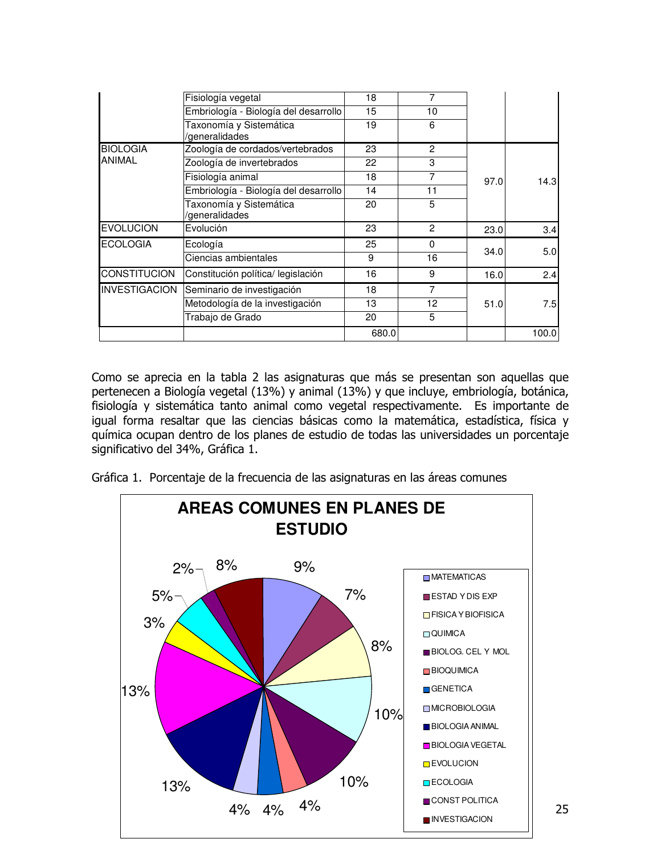|                      | Fisiología vegetal                        | 18    | 7              |      |       |
|----------------------|-------------------------------------------|-------|----------------|------|-------|
|                      | Embriología - Biología del desarrollo     | 15    | 10             |      |       |
|                      | Taxonomía y Sistemática<br>/generalidades | 19    | 6              |      |       |
| <b>BIOLOGIA</b>      | Zoología de cordados/vertebrados          | 23    | $\overline{2}$ |      |       |
| <b>ANIMAL</b>        | Zoología de invertebrados                 | 22    | 3              |      |       |
|                      | Fisiología animal                         | 18    | 7              | 97.0 | 14.3  |
|                      | Embriología - Biología del desarrollo     | 14    | 11             |      |       |
|                      | Taxonomía y Sistemática<br>/generalidades | 20    | 5              |      |       |
| <b>EVOLUCION</b>     | Evolución                                 | 23    | 2              | 23.0 | 3.4   |
| <b>ECOLOGIA</b>      | Ecología                                  | 25    | 0              |      |       |
|                      | Ciencias ambientales                      | 9     | 16             | 34.0 | 5.0   |
| <b>CONSTITUCION</b>  | Constitución política/ legislación        | 16    | 9              | 16.0 | 2.4   |
| <b>INVESTIGACION</b> | Seminario de investigación                | 18    | 7              |      |       |
|                      | Metodología de la investigación           | 13    | 12             | 51.0 | 7.5   |
|                      | Trabajo de Grado                          | 20    | 5              |      |       |
|                      |                                           | 680.0 |                |      | 100.0 |

Como se aprecia en la tabla 2 las asignaturas que más se presentan son aquellas que pertenecen a Biología vegetal (13%) y animal (13%) y que incluye, embriología, botánica, fisiología y sistemática tanto animal como vegetal respectivamente. Es importante de igual forma resaltar que las ciencias básicas como la matemática, estadística, física y química ocupan dentro de los planes de estudio de todas las universidades un porcentaje significativo del 34%, Gráfica 1.

Gráfica 1. Porcentaje de la frecuencia de las asignaturas en las áreas comunes

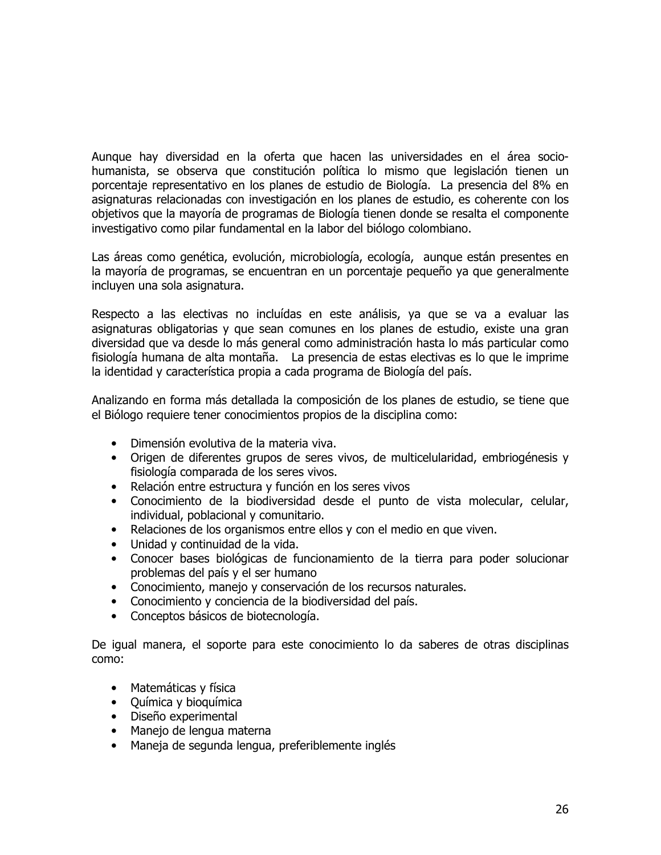Aunque hay diversidad en la oferta que hacen las universidades en el área sociohumanista, se observa que constitución política lo mismo que legislación tienen un porcentaje representativo en los planes de estudio de Biología. La presencia del 8% en asignaturas relacionadas con investigación en los planes de estudio, es coherente con los objetivos que la mayoría de programas de Biología tienen donde se resalta el componente investigativo como pilar fundamental en la labor del biólogo colombiano.

Las áreas como genética, evolución, microbiología, ecología, aunque están presentes en la mayoría de programas, se encuentran en un porcentaje pequeño ya que generalmente incluyen una sola asignatura.

Respecto a las electivas no incluídas en este análisis, ya que se va a evaluar las asignaturas obligatorias y que sean comunes en los planes de estudio, existe una gran diversidad que va desde lo más general como administración hasta lo más particular como fisiología humana de alta montaña. La presencia de estas electivas es lo que le imprime la identidad y característica propia a cada programa de Biología del país.

Analizando en forma más detallada la composición de los planes de estudio, se tiene que el Biólogo requiere tener conocimientos propios de la disciplina como:

- · Dimensión evolutiva de la materia viva.
- Origen de diferentes grupos de seres vivos, de multicelularidad, embriogénesis y fisiología comparada de los seres vivos.
- Relación entre estructura y función en los seres vivos
- · Conocimiento de la biodiversidad desde el punto de vista molecular, celular, individual, poblacional y comunitario.
- Relaciones de los organismos entre ellos y con el medio en que viven.  $\bullet$
- Unidad y continuidad de la vida.  $\bullet$
- Conocer bases biológicas de funcionamiento de la tierra para poder solucionar  $\bullet$ problemas del país y el ser humano
- Conocimiento, manejo y conservación de los recursos naturales.
- Conocimiento y conciencia de la biodiversidad del país.
- Conceptos básicos de biotecnología.

De igual manera, el soporte para este conocimiento lo da saberes de otras disciplinas como:

- Matemáticas y física
- Química y bioquímica
- · Diseño experimental
- · Manejo de lengua materna
- Maneja de segunda lengua, preferiblemente inglés  $\bullet$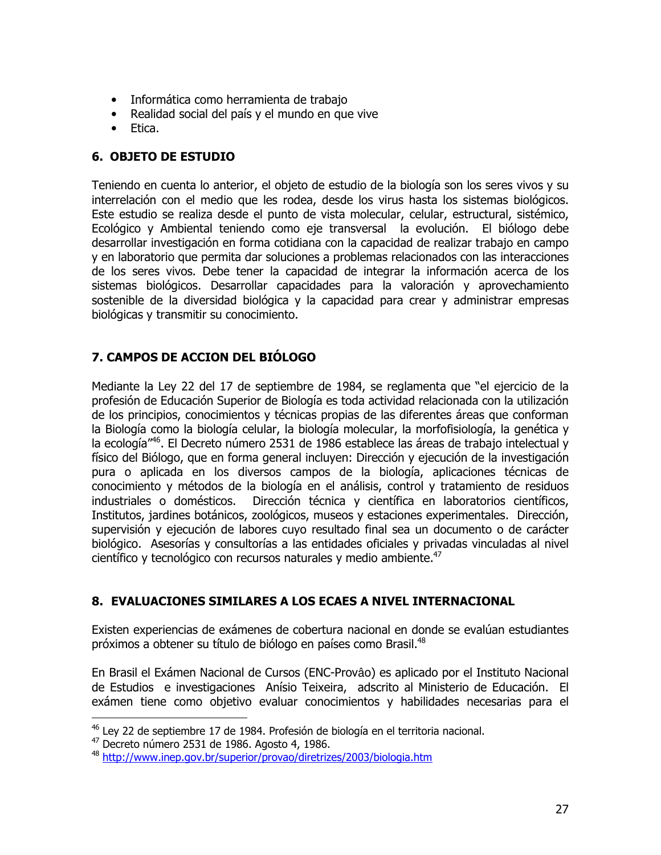- Informática como herramienta de trabajo
- Realidad social del país y el mundo en que vive
- $\bullet$  Etica.

# **6. OBJETO DE ESTUDIO**

Teniendo en cuenta lo anterior, el objeto de estudio de la biología son los seres vivos y su interrelación con el medio que les rodea, desde los virus hasta los sistemas biológicos. Este estudio se realiza desde el punto de vista molecular, celular, estructural, sistémico, Ecológico y Ambiental teniendo como eje transversal la evolución. El biólogo debe desarrollar investigación en forma cotidiana con la capacidad de realizar trabajo en campo y en laboratorio que permita dar soluciones a problemas relacionados con las interacciones de los seres vivos. Debe tener la capacidad de integrar la información acerca de los sistemas biológicos. Desarrollar capacidades para la valoración y aprovechamiento sostenible de la diversidad biológica y la capacidad para crear y administrar empresas biológicas y transmitir su conocimiento.

# 7. CAMPOS DE ACCION DEL BIÓLOGO

Mediante la Ley 22 del 17 de septiembre de 1984, se reglamenta que "el ejercicio de la profesión de Educación Superior de Biología es toda actividad relacionada con la utilización de los principios, conocimientos y técnicas propias de las diferentes áreas que conforman la Biología como la biología celular, la biología molecular, la morfofisiología, la genética y la ecología"<sup>46</sup>. El Decreto número 2531 de 1986 establece las áreas de trabajo intelectual y físico del Biólogo, que en forma general incluyen: Dirección y ejecución de la investigación pura o aplicada en los diversos campos de la biología, aplicaciones técnicas de conocimiento y métodos de la biología en el análisis, control y tratamiento de residuos Dirección técnica y científica en laboratorios científicos, industriales o domésticos. Institutos, jardines botánicos, zoológicos, museos y estaciones experimentales. Dirección, supervisión y ejecución de labores cuyo resultado final sea un documento o de carácter biológico. Asesorías y consultorías a las entidades oficiales y privadas vinculadas al nivel científico y tecnológico con recursos naturales y medio ambiente.<sup>47</sup>

# 8. EVALUACIONES SIMILARES A LOS ECAES A NIVEL INTERNACIONAL

Existen experiencias de exámenes de cobertura nacional en donde se evalúan estudiantes próximos a obtener su título de biólogo en países como Brasil.<sup>48</sup>

En Brasil el Exámen Nacional de Cursos (ENC-Provâo) es aplicado por el Instituto Nacional de Estudios e investigaciones Anísio Teixeira, adscrito al Ministerio de Educación. El exámen tiene como objetivo evaluar conocimientos y habilidades necesarias para el

<sup>46</sup> Ley 22 de septiembre 17 de 1984. Profesión de biología en el territoria nacional.

<sup>&</sup>lt;sup>47</sup> Decreto número 2531 de 1986. Agosto 4, 1986.

<sup>48</sup> http://www.inep.gov.br/superior/provao/diretrizes/2003/biologia.htm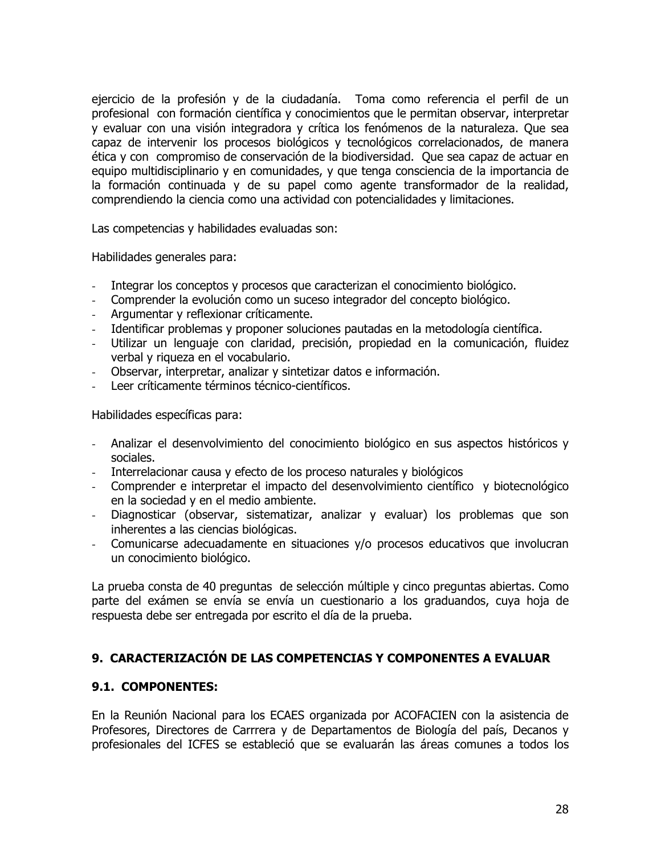ejercicio de la profesión y de la ciudadanía. Toma como referencia el perfil de un profesional con formación científica y conocimientos que le permitan observar, interpretar y evaluar con una visión integradora y crítica los fenómenos de la naturaleza. Que sea capaz de intervenir los procesos biológicos y tecnológicos correlacionados, de manera ética y con compromiso de conservación de la biodiversidad. Que sea capaz de actuar en equipo multidisciplinario y en comunidades, y que tenga consciencia de la importancia de la formación continuada y de su papel como agente transformador de la realidad, comprendiendo la ciencia como una actividad con potencialidades y limitaciones.

Las competencias y habilidades evaluadas son:

Habilidades generales para:

- Integrar los conceptos y procesos que caracterizan el conocimiento biológico.  $\omega$  .
- Comprender la evolución como un suceso integrador del concepto biológico.
- Argumentar y reflexionar críticamente.
- Identificar problemas y proponer soluciones pautadas en la metodología científica.
- Utilizar un lenguaje con claridad, precisión, propiedad en la comunicación, fluidez verbal y riqueza en el vocabulario.
- Observar, interpretar, analizar y sintetizar datos e información.
- Leer críticamente términos técnico-científicos.

Habilidades específicas para:

- Analizar el desenvolvimiento del conocimiento biológico en sus aspectos históricos y sociales.
- Interrelacionar causa y efecto de los proceso naturales y biológicos  $\omega$  .
- Comprender e interpretar el impacto del desenvolvimiento científico y biotecnológico en la sociedad y en el medio ambiente.
- Diagnosticar (observar, sistematizar, analizar y evaluar) los problemas que son inherentes a las ciencias biológicas.
- Comunicarse adecuadamente en situaciones y/o procesos educativos que involucran un conocimiento biológico.

La prueba consta de 40 preguntas de selección múltiple y cinco preguntas abiertas. Como parte del exámen se envía se envía un cuestionario a los graduandos, cuya hoja de respuesta debe ser entregada por escrito el día de la prueba.

#### 9. CARACTERIZACIÓN DE LAS COMPETENCIAS Y COMPONENTES A EVALUAR

#### 9.1. COMPONENTES:

En la Reunión Nacional para los ECAES organizada por ACOFACIEN con la asistencia de Profesores, Directores de Carrrera y de Departamentos de Biología del país, Decanos y profesionales del ICFES se estableció que se evaluarán las áreas comunes a todos los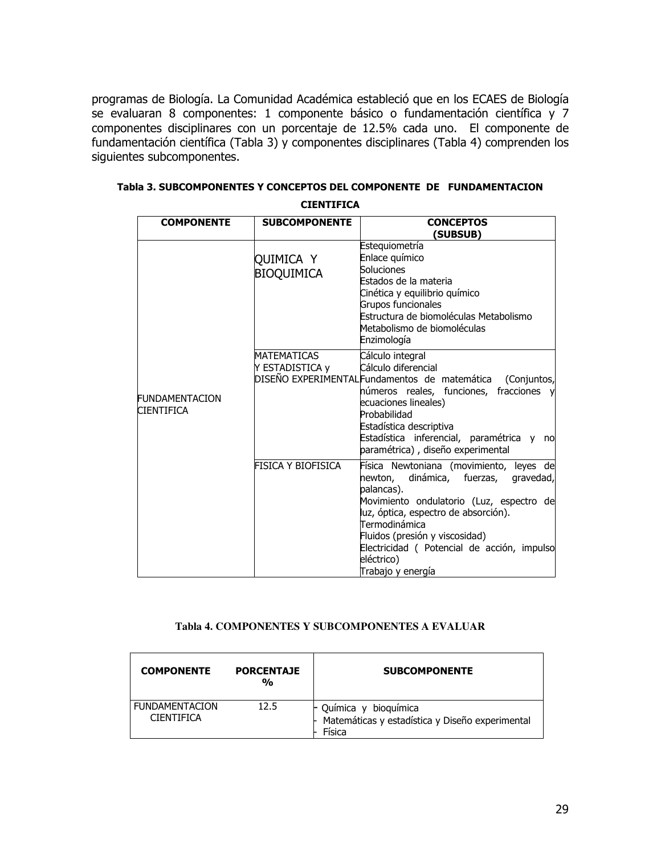programas de Biología. La Comunidad Académica estableció que en los ECAES de Biología se evaluaran 8 componentes: 1 componente básico o fundamentación científica y 7 componentes disciplinares con un porcentaje de 12.5% cada uno. El componente de fundamentación científica (Tabla 3) y componentes disciplinares (Tabla 4) comprenden los siguientes subcomponentes.

| <b>COMPONENTE</b>                          | <b>SUBCOMPONENTE</b>           | <b>CONCEPTOS</b><br>(SUBSUB)                                                                                                                                                                                                                                                                                             |
|--------------------------------------------|--------------------------------|--------------------------------------------------------------------------------------------------------------------------------------------------------------------------------------------------------------------------------------------------------------------------------------------------------------------------|
|                                            | QUIMICA Y<br><b>BIOQUIMICA</b> | Estequiometría<br>Enlace químico<br>Soluciones<br>Estados de la materia<br>Cinética y equilibrio químico<br>Grupos funcionales<br>Estructura de biomoléculas Metabolismo<br>Metabolismo de biomoléculas<br>Enzimología                                                                                                   |
| <b>FUNDAMENTACION</b><br><b>CIENTIFICA</b> | MATEMATICAS<br>Y ESTADISTICA y | Cálculo integral<br>Cálculo diferencial<br>DISEÑO EXPERIMENTAL Fundamentos de matemática<br>(Conjuntos,<br>números reales, funciones, fracciones y<br>ecuaciones lineales)<br>Probabilidad<br>Estadística descriptiva<br>Estadística inferencial, paramétrica y<br>no<br>paramétrica), diseño experimental               |
|                                            | FISICA Y BIOFISICA             | Física Newtoniana (movimiento, leyes de<br>newton, dinámica, fuerzas,<br>gravedad,<br>palancas).<br>Movimiento ondulatorio (Luz, espectro de<br>luz, óptica, espectro de absorción).<br>Termodinámica<br>Fluidos (presión y viscosidad)<br>Electricidad (Potencial de acción, impulso<br>eléctrico)<br>Trabaio v energía |

| Tabla 3. SUBCOMPONENTES Y CONCEPTOS DEL COMPONENTE DE FUNDAMENTACION |  |
|----------------------------------------------------------------------|--|
| <b>CIENTIFICA</b>                                                    |  |

#### Tabla 4. COMPONENTES Y SUBCOMPONENTES A EVALUAR

| <b>COMPONENTE</b>                          | <b>PORCENTAJE</b><br>$\frac{0}{0}$ | <b>SUBCOMPONENTE</b>                                                                  |
|--------------------------------------------|------------------------------------|---------------------------------------------------------------------------------------|
| <b>FUNDAMENTACION</b><br><b>CIFNTIFICA</b> | 12.5                               | - Química y bioquímica<br>- Matemáticas y estadística y Diseño experimental<br>Física |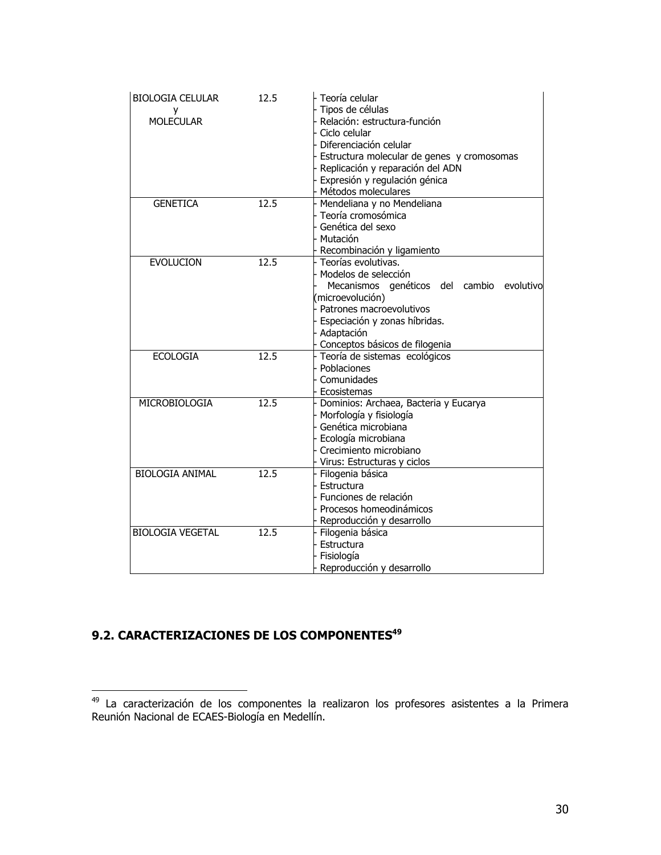| <b>BIOLOGIA CELULAR</b><br>у<br><b>MOLECULAR</b> | 12.5 | Teoría celular<br>Tipos de células<br>Relación: estructura-función<br>Ciclo celular<br>Diferenciación celular<br>Estructura molecular de genes y cromosomas<br>Replicación y reparación del ADN<br>Expresión y regulación génica<br>Métodos moleculares |
|--------------------------------------------------|------|---------------------------------------------------------------------------------------------------------------------------------------------------------------------------------------------------------------------------------------------------------|
| <b>GENETICA</b>                                  | 12.5 | Mendeliana y no Mendeliana<br>Teoría cromosómica<br>Genética del sexo<br>Mutación<br>Recombinación y ligamiento                                                                                                                                         |
| <b>EVOLUCION</b>                                 | 12.5 | Teorías evolutivas.<br>Modelos de selección<br>Mecanismos genéticos del cambio<br>evolutivo<br>(microevolución)<br>Patrones macroevolutivos<br>Especiación y zonas híbridas.<br>Adaptación<br>Conceptos básicos de filogenia                            |
| <b>ECOLOGIA</b>                                  | 12.5 | Teoría de sistemas ecológicos<br>Poblaciones<br>Comunidades<br>Ecosistemas                                                                                                                                                                              |
| MICROBIOLOGIA                                    | 12.5 | Dominios: Archaea, Bacteria y Eucarya<br>Morfología y fisiología<br>Genética microbiana<br>Ecología microbiana<br>Crecimiento microbiano<br>Virus: Estructuras y ciclos                                                                                 |
| <b>BIOLOGIA ANIMAL</b>                           | 12.5 | Filogenia básica<br>Estructura<br>Funciones de relación<br>Procesos homeodinámicos<br>Reproducción y desarrollo                                                                                                                                         |
| <b>BIOLOGIA VEGETAL</b>                          | 12.5 | Filogenia básica<br>Estructura<br>Fisiología<br>Reproducción y desarrollo                                                                                                                                                                               |

# 9.2. CARACTERIZACIONES DE LOS COMPONENTES<sup>49</sup>

<sup>49</sup> La caracterización de los componentes la realizaron los profesores asistentes a la Primera<br>Reunión Nacional de ECAES-Biología en Medellín.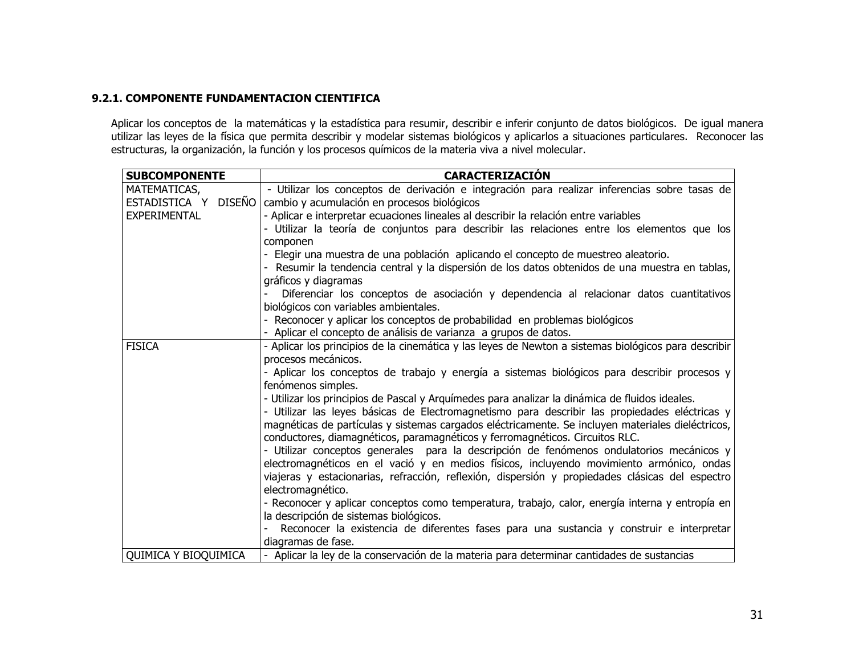#### 9.2.1. COMPONENTE FUNDAMENTACION CIENTIFICA

Aplicar los conceptos de la matemáticas y la estadística para resumir, describir e inferir conjunto de datos biológicos. De igual manera<br>utilizar las leyes de la física que permita describir y modelar sistemas biológicos y

| <b>SUBCOMPONENTE</b> | <b>CARACTERIZACIÓN</b>                                                                                                                                                                      |
|----------------------|---------------------------------------------------------------------------------------------------------------------------------------------------------------------------------------------|
| MATEMATICAS,         | - Utilizar los conceptos de derivación e integración para realizar inferencias sobre tasas de                                                                                               |
| ESTADISTICA Y DISEÑO | cambio y acumulación en procesos biológicos                                                                                                                                                 |
| <b>EXPERIMENTAL</b>  | - Aplicar e interpretar ecuaciones lineales al describir la relación entre variables                                                                                                        |
|                      | - Utilizar la teoría de conjuntos para describir las relaciones entre los elementos que los                                                                                                 |
|                      | componen                                                                                                                                                                                    |
|                      | - Elegir una muestra de una población aplicando el concepto de muestreo aleatorio.                                                                                                          |
|                      | - Resumir la tendencia central y la dispersión de los datos obtenidos de una muestra en tablas,                                                                                             |
|                      | gráficos y diagramas                                                                                                                                                                        |
|                      | Diferenciar los conceptos de asociación y dependencia al relacionar datos cuantitativos                                                                                                     |
|                      | biológicos con variables ambientales.                                                                                                                                                       |
|                      | - Reconocer y aplicar los conceptos de probabilidad en problemas biológicos                                                                                                                 |
|                      | - Aplicar el concepto de análisis de varianza a grupos de datos.                                                                                                                            |
| <b>FISICA</b>        | - Aplicar los principios de la cinemática y las leyes de Newton a sistemas biológicos para describir                                                                                        |
|                      | procesos mecánicos.                                                                                                                                                                         |
|                      | - Aplicar los conceptos de trabajo y energía a sistemas biológicos para describir procesos y                                                                                                |
|                      | fenómenos simples.                                                                                                                                                                          |
|                      | - Utilizar los principios de Pascal y Arquímedes para analizar la dinámica de fluidos ideales.                                                                                              |
|                      | - Utilizar las leyes básicas de Electromagnetismo para describir las propiedades eléctricas y                                                                                               |
|                      | magnéticas de partículas y sistemas cargados eléctricamente. Se incluyen materiales dieléctricos,                                                                                           |
|                      | conductores, diamagnéticos, paramagnéticos y ferromagnéticos. Circuitos RLC.                                                                                                                |
|                      | - Utilizar conceptos generales para la descripción de fenómenos ondulatorios mecánicos y                                                                                                    |
|                      | electromagnéticos en el vació y en medios físicos, incluyendo movimiento armónico, ondas<br>viajeras y estacionarias, refracción, reflexión, dispersión y propiedades clásicas del espectro |
|                      | electromagnético.                                                                                                                                                                           |
|                      | - Reconocer y aplicar conceptos como temperatura, trabajo, calor, energía interna y entropía en                                                                                             |
|                      | la descripción de sistemas biológicos.                                                                                                                                                      |
|                      | Reconocer la existencia de diferentes fases para una sustancia y construir e interpretar                                                                                                    |
|                      | diagramas de fase.                                                                                                                                                                          |
| QUIMICA Y BIOQUIMICA | - Aplicar la ley de la conservación de la materia para determinar cantidades de sustancias                                                                                                  |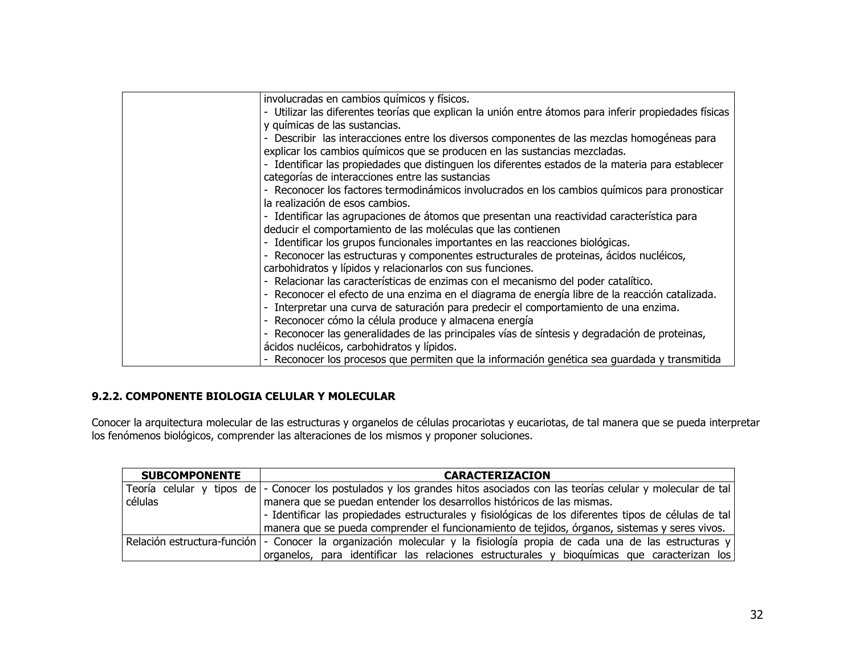| - Utilizar las diferentes teorías que explican la unión entre átomos para inferir propiedades físicas |
|-------------------------------------------------------------------------------------------------------|
|                                                                                                       |
|                                                                                                       |
|                                                                                                       |
| - Describir las interacciones entre los diversos componentes de las mezclas homogéneas para           |
|                                                                                                       |
| - Identificar las propiedades que distinguen los diferentes estados de la materia para establecer     |
|                                                                                                       |
| - Reconocer los factores termodinámicos involucrados en los cambios químicos para pronosticar         |
|                                                                                                       |
|                                                                                                       |
|                                                                                                       |
|                                                                                                       |
|                                                                                                       |
|                                                                                                       |
|                                                                                                       |
|                                                                                                       |
| - Reconocer el efecto de una enzima en el diagrama de energía libre de la reacción catalizada.        |
|                                                                                                       |
|                                                                                                       |
|                                                                                                       |
|                                                                                                       |
| - Reconocer los procesos que permiten que la información genética sea guardada y transmitida          |
| - Reconocer las generalidades de las principales vías de síntesis y degradación de proteinas,         |

#### 9.2.2. COMPONENTE BIOLOGIA CELULAR Y MOLECULAR

Conocer la arquitectura molecular de las estructuras y organelos de células procariotas y eucariotas, de tal manera que se pueda interpretar<br>los fenómenos biológicos, comprender las alteraciones de los mismos y proponer so

| <b>SUBCOMPONENTE</b> | <b>CARACTERIZACION</b>                                                                                                      |  |
|----------------------|-----------------------------------------------------------------------------------------------------------------------------|--|
|                      | Teoría celular y tipos de - Conocer los postulados y los grandes hitos asociados con las teorías celular y molecular de tal |  |
| células              | manera que se puedan entender los desarrollos históricos de las mismas.                                                     |  |
|                      | - Identificar las propiedades estructurales y fisiológicas de los diferentes tipos de células de tal                        |  |
|                      | manera que se pueda comprender el funcionamiento de tejidos, órganos, sistemas y seres vivos.                               |  |
|                      | Relación estructura-función  - Conocer la organización molecular y la fisiología propia de cada una de las estructuras y    |  |
|                      | organelos, para identificar las relaciones estructurales y bioquímicas que caracterizan los                                 |  |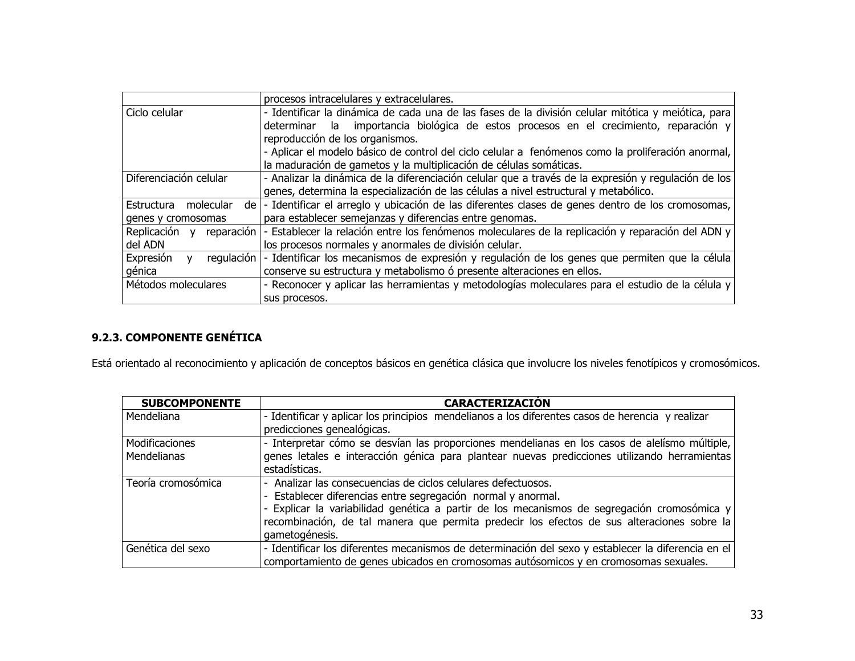|                                         | procesos intracelulares y extracelulares.                                                                      |
|-----------------------------------------|----------------------------------------------------------------------------------------------------------------|
| Ciclo celular                           | - Identificar la dinámica de cada una de las fases de la división celular mitótica y meiótica, para            |
|                                         | importancia biológica de estos procesos en el crecimiento, reparación y<br>determinar<br>- la                  |
|                                         | reproducción de los organismos.                                                                                |
|                                         | - Aplicar el modelo básico de control del ciclo celular a fenómenos como la proliferación anormal,             |
|                                         | la maduración de gametos y la multiplicación de células somáticas.                                             |
| Diferenciación celular                  | - Analizar la dinámica de la diferenciación celular que a través de la expresión y regulación de los           |
|                                         | genes, determina la especialización de las células a nivel estructural y metabólico.                           |
| Estructura<br>molecular                 | de  - Identificar el arreglo y ubicación de las diferentes clases de genes dentro de los cromosomas,           |
| genes y cromosomas                      | para establecer semejanzas y diferencias entre genomas.                                                        |
| Replicación y                           | reparación   - Establecer la relación entre los fenómenos moleculares de la replicación y reparación del ADN y |
| del ADN                                 | los procesos normales y anormales de división celular.                                                         |
| regulación<br>Expresión<br>$\mathsf{v}$ | - Identificar los mecanismos de expresión y regulación de los genes que permiten que la célula                 |
| génica                                  | conserve su estructura y metabolismo ó presente alteraciones en ellos.                                         |
| Métodos moleculares                     | - Reconocer y aplicar las herramientas y metodologías moleculares para el estudio de la célula y               |
|                                         | sus procesos.                                                                                                  |

# 9.2.3. COMPONENTE GENÉTICA

Está orientado al reconocimiento y aplicación de conceptos básicos en genética clásica que involucre los niveles fenotípicos y cromosómicos.

| <b>SUBCOMPONENTE</b>          | <b>CARACTERIZACIÓN</b>                                                                                                                                                                                                                                                                                                                       |
|-------------------------------|----------------------------------------------------------------------------------------------------------------------------------------------------------------------------------------------------------------------------------------------------------------------------------------------------------------------------------------------|
| Mendeliana                    | - Identificar y aplicar los principios mendelianos a los diferentes casos de herencia y realizar<br>predicciones genealógicas.                                                                                                                                                                                                               |
| Modificaciones<br>Mendelianas | - Interpretar cómo se desvían las proporciones mendelianas en los casos de alelísmo múltiple,<br>genes letales e interacción génica para plantear nuevas predicciones utilizando herramientas<br>estadísticas.                                                                                                                               |
| Teoría cromosómica            | - Analizar las consecuencias de ciclos celulares defectuosos.<br>- Establecer diferencias entre segregación normal y anormal.<br>- Explicar la variabilidad genética a partir de los mecanismos de segregación cromosómica y<br>recombinación, de tal manera que permita predecir los efectos de sus alteraciones sobre la<br>gametogénesis. |
| Genética del sexo             | - Identificar los diferentes mecanismos de determinación del sexo y establecer la diferencia en el<br>comportamiento de genes ubicados en cromosomas autósomicos y en cromosomas sexuales.                                                                                                                                                   |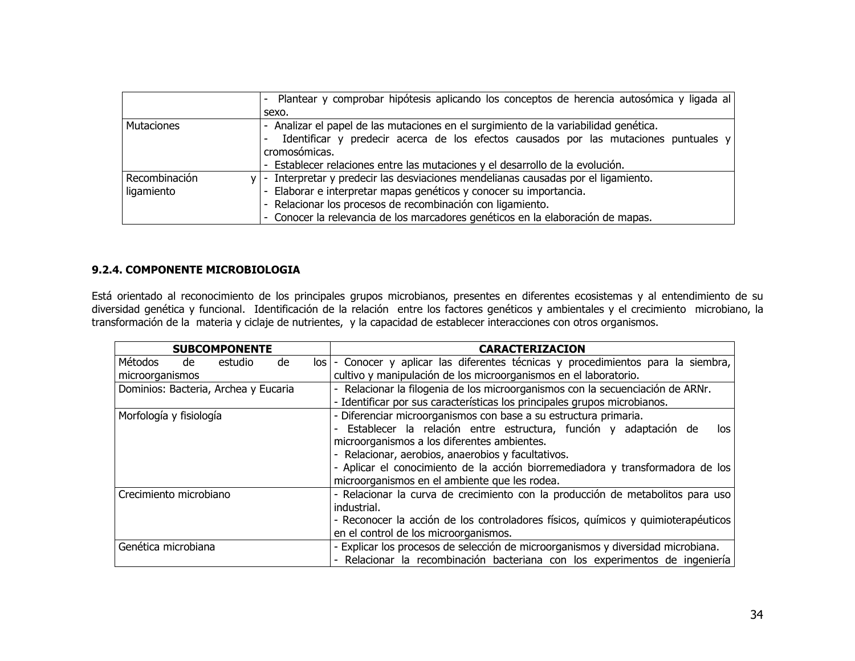|                   | Plantear y comprobar hipótesis aplicando los conceptos de herencia autosómica y ligada al |  |  |  |  |  |  |
|-------------------|-------------------------------------------------------------------------------------------|--|--|--|--|--|--|
|                   | sexo.                                                                                     |  |  |  |  |  |  |
| <b>Mutaciones</b> | - Analizar el papel de las mutaciones en el surgimiento de la variabilidad genética.      |  |  |  |  |  |  |
|                   | Identificar y predecir acerca de los efectos causados por las mutaciones puntuales $y$    |  |  |  |  |  |  |
|                   | cromosómicas.                                                                             |  |  |  |  |  |  |
|                   | - Establecer relaciones entre las mutaciones y el desarrollo de la evolución.             |  |  |  |  |  |  |
| Recombinación     | $y$ - Interpretar y predecir las desviaciones mendelianas causadas por el ligamiento.     |  |  |  |  |  |  |
| ligamiento        | - Elaborar e interpretar mapas genéticos y conocer su importancia.                        |  |  |  |  |  |  |
|                   | - Relacionar los procesos de recombinación con ligamiento.                                |  |  |  |  |  |  |
|                   | - Conocer la relevancia de los marcadores genéticos en la elaboración de mapas.           |  |  |  |  |  |  |

#### 9.2.4. COMPONENTE MICROBIOLOGIA

Está orientado al reconocimiento de los principales grupos microbianos, presentes en diferentes ecosistemas y al entendimiento de su diversidad genética y funcional. Identificación de la relación entre los factores genéticos y ambientales y el crecimiento microbiano, la transformación de la materia y ciclaje de nutrientes, y la capacidad de establecer interacciones con otros organismos.

| <b>SUBCOMPONENTE</b>                    | <b>CARACTERIZACION</b>                                                            |  |  |  |  |
|-----------------------------------------|-----------------------------------------------------------------------------------|--|--|--|--|
| Métodos<br>estudio<br>de<br>de<br>los l | - Conocer y aplicar las diferentes técnicas y procedimientos para la siembra,     |  |  |  |  |
| microorganismos                         | cultivo y manipulación de los microorganismos en el laboratorio.                  |  |  |  |  |
| Dominios: Bacteria, Archea y Eucaria    | Relacionar la filogenia de los microorganismos con la secuenciación de ARNr.      |  |  |  |  |
|                                         | - Identificar por sus características los principales grupos microbianos.         |  |  |  |  |
| Morfología y fisiología                 | - Diferenciar microorganismos con base a su estructura primaria.                  |  |  |  |  |
|                                         | Establecer la relación entre estructura, función y adaptación de<br>los           |  |  |  |  |
|                                         | microorganismos a los diferentes ambientes.                                       |  |  |  |  |
|                                         | Relacionar, aerobios, anaerobios y facultativos.                                  |  |  |  |  |
|                                         | - Aplicar el conocimiento de la acción biorremediadora y transformadora de los    |  |  |  |  |
|                                         | microorganismos en el ambiente que les rodea.                                     |  |  |  |  |
| Crecimiento microbiano                  | - Relacionar la curva de crecimiento con la producción de metabolitos para uso    |  |  |  |  |
|                                         | industrial.                                                                       |  |  |  |  |
|                                         | - Reconocer la acción de los controladores físicos, químicos y quimioterapéuticos |  |  |  |  |
|                                         | en el control de los microorganismos.                                             |  |  |  |  |
| Genética microbiana                     | - Explicar los procesos de selección de microorganismos y diversidad microbiana.  |  |  |  |  |
|                                         | Relacionar la recombinación bacteriana con los experimentos de ingeniería         |  |  |  |  |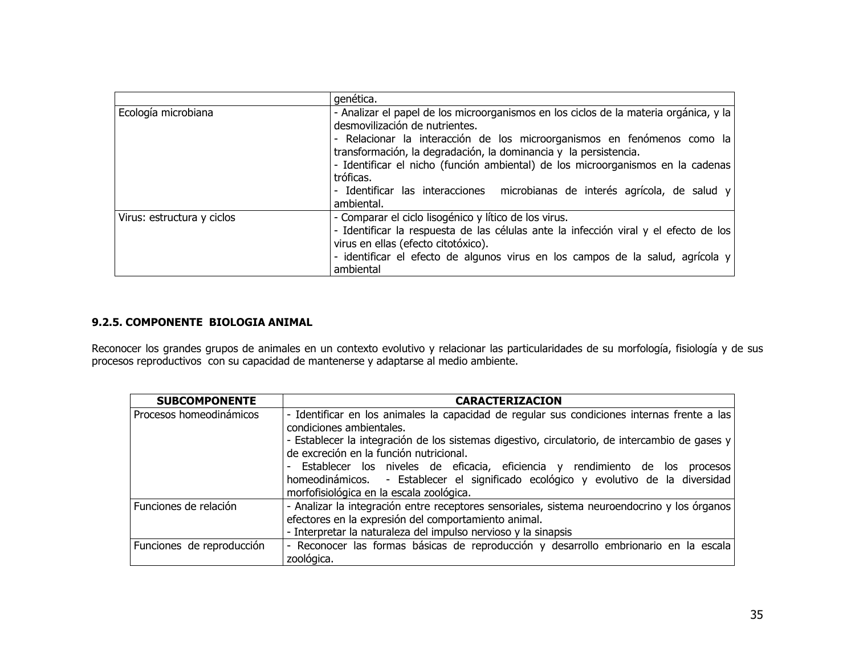|                                                                                      | genética.                                                                             |  |  |  |  |  |  |
|--------------------------------------------------------------------------------------|---------------------------------------------------------------------------------------|--|--|--|--|--|--|
| Ecología microbiana                                                                  | - Analizar el papel de los microorganismos en los ciclos de la materia orgánica, y la |  |  |  |  |  |  |
|                                                                                      | desmovilización de nutrientes.                                                        |  |  |  |  |  |  |
|                                                                                      | - Relacionar la interacción de los microorganismos en fenómenos como la               |  |  |  |  |  |  |
|                                                                                      | transformación, la degradación, la dominancia y la persistencia.                      |  |  |  |  |  |  |
|                                                                                      | - Identificar el nicho (función ambiental) de los microorganismos en la cadenas       |  |  |  |  |  |  |
|                                                                                      | tróficas.                                                                             |  |  |  |  |  |  |
|                                                                                      | - Identificar las interacciones microbianas de interés agrícola, de salud y           |  |  |  |  |  |  |
|                                                                                      | ambiental.                                                                            |  |  |  |  |  |  |
| Virus: estructura y ciclos                                                           | - Comparar el ciclo lisogénico y lítico de los virus.                                 |  |  |  |  |  |  |
| - Identificar la respuesta de las células ante la infección viral y el efecto de los |                                                                                       |  |  |  |  |  |  |
| virus en ellas (efecto citotóxico).                                                  |                                                                                       |  |  |  |  |  |  |
| - identificar el efecto de algunos virus en los campos de la salud, agrícola y       |                                                                                       |  |  |  |  |  |  |
|                                                                                      | ambiental                                                                             |  |  |  |  |  |  |

#### 9.2.5. COMPONENTE BIOLOGIA ANIMAL

Reconocer los grandes grupos de animales en un contexto evolutivo y relacionar las particularidades de su morfología, fisiología y de sus<br>procesos reproductivos con su capacidad de mantenerse y adaptarse al medio ambiente.

| <b>SUBCOMPONENTE</b>      | <b>CARACTERIZACION</b>                                                                                                                                                                                              |  |  |  |  |  |  |  |  |  |
|---------------------------|---------------------------------------------------------------------------------------------------------------------------------------------------------------------------------------------------------------------|--|--|--|--|--|--|--|--|--|
| Procesos homeodinámicos   | - Identificar en los animales la capacidad de regular sus condiciones internas frente a las<br>condiciones ambientales.                                                                                             |  |  |  |  |  |  |  |  |  |
|                           | - Establecer la integración de los sistemas digestivo, circulatorio, de intercambio de gases y  <br>de excreción en la función nutricional.                                                                         |  |  |  |  |  |  |  |  |  |
|                           | - Establecer los niveles de eficacia, eficiencia y rendimiento de los<br>procesos<br>homeodinámicos. - Establecer el significado ecológico y evolutivo de la diversidad<br>morfofisiológica en la escala zoológica. |  |  |  |  |  |  |  |  |  |
| Funciones de relación     | - Analizar la integración entre receptores sensoriales, sistema neuroendocrino y los órganos                                                                                                                        |  |  |  |  |  |  |  |  |  |
|                           | efectores en la expresión del comportamiento animal.<br>- Interpretar la naturaleza del impulso nervioso y la sinapsis                                                                                              |  |  |  |  |  |  |  |  |  |
| Funciones de reproducción | - Reconocer las formas básicas de reproducción y desarrollo embrionario en la escala<br>zoológica.                                                                                                                  |  |  |  |  |  |  |  |  |  |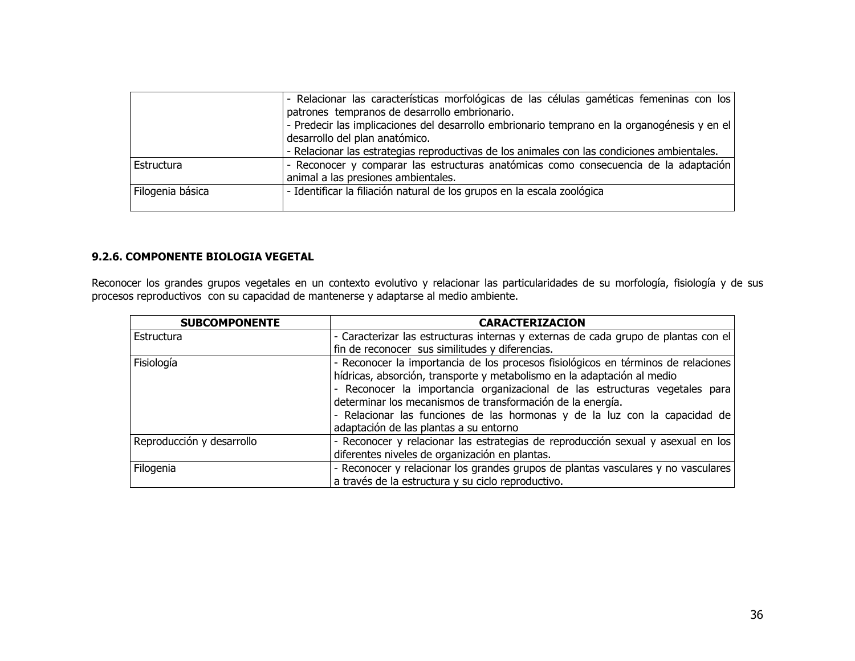|                  | $\vert$ - Relacionar las características morfológicas de las células gaméticas femeninas con los<br>patrones tempranos de desarrollo embrionario.<br>$\vert$ - Predecir las implicaciones del desarrollo embrionario temprano en la organogénesis y en el $\vert$<br>desarrollo del plan anatómico. |
|------------------|-----------------------------------------------------------------------------------------------------------------------------------------------------------------------------------------------------------------------------------------------------------------------------------------------------|
|                  | - Relacionar las estrategias reproductivas de los animales con las condiciones ambientales.                                                                                                                                                                                                         |
| Estructura       | $\vert$ - Reconocer y comparar las estructuras anatómicas como consecuencia de la adaptación<br>animal a las presiones ambientales.                                                                                                                                                                 |
| Filogenia básica | - Identificar la filiación natural de los grupos en la escala zoológica                                                                                                                                                                                                                             |

#### 9.2.6. COMPONENTE BIOLOGIA VEGETAL

Reconocer los grandes grupos vegetales en un contexto evolutivo y relacionar las particularidades de su morfología, fisiología y de sus<br>procesos reproductivos con su capacidad de mantenerse y adaptarse al medio ambiente.

| <b>SUBCOMPONENTE</b>      | <b>CARACTERIZACION</b>                                                             |  |  |  |  |  |
|---------------------------|------------------------------------------------------------------------------------|--|--|--|--|--|
| Estructura                | - Caracterizar las estructuras internas y externas de cada grupo de plantas con el |  |  |  |  |  |
|                           | fin de reconocer sus similitudes y diferencias.                                    |  |  |  |  |  |
| Fisiología                | - Reconocer la importancia de los procesos fisiológicos en términos de relaciones  |  |  |  |  |  |
|                           | hídricas, absorción, transporte y metabolismo en la adaptación al medio            |  |  |  |  |  |
|                           | - Reconocer la importancia organizacional de las estructuras vegetales para        |  |  |  |  |  |
|                           | determinar los mecanismos de transformación de la energía.                         |  |  |  |  |  |
|                           | - Relacionar las funciones de las hormonas y de la luz con la capacidad de         |  |  |  |  |  |
|                           | adaptación de las plantas a su entorno                                             |  |  |  |  |  |
| Reproducción y desarrollo | - Reconocer y relacionar las estrategias de reproducción sexual y asexual en los   |  |  |  |  |  |
|                           | diferentes niveles de organización en plantas.                                     |  |  |  |  |  |
| Filogenia                 | - Reconocer y relacionar los grandes grupos de plantas vasculares y no vasculares  |  |  |  |  |  |
|                           | a través de la estructura y su ciclo reproductivo.                                 |  |  |  |  |  |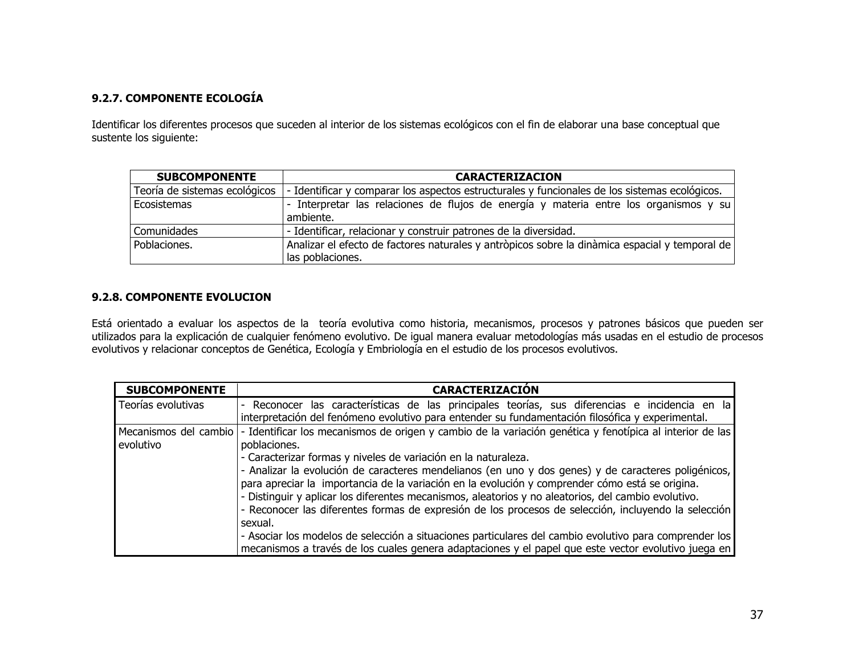## 9.2.7. COMPONENTE ECOLOGÍA

Identificar los diferentes procesos que suceden al interior de los sistemas ecológicos con el fin de elaborar una base conceptual que sustente los siguiente:

| <b>SUBCOMPONENTE</b>          | <b>CARACTERIZACION</b>                                                                                             |  |  |  |  |  |  |  |  |
|-------------------------------|--------------------------------------------------------------------------------------------------------------------|--|--|--|--|--|--|--|--|
| Teoría de sistemas ecológicos | - Identificar y comparar los aspectos estructurales y funcionales de los sistemas ecológicos.                      |  |  |  |  |  |  |  |  |
| Ecosistemas                   | - Interpretar las relaciones de flujos de energía y materia entre los organismos y su<br>ambiente.                 |  |  |  |  |  |  |  |  |
| Comunidades                   | - Identificar, relacionar y construir patrones de la diversidad.                                                   |  |  |  |  |  |  |  |  |
| Poblaciones.                  | Analizar el efecto de factores naturales y antròpicos sobre la dinàmica espacial y temporal de<br>las poblaciones. |  |  |  |  |  |  |  |  |

#### 9.2.8. COMPONENTE EVOLUCION

Está orientado a evaluar los aspectos de la teoría evolutiva como historia, mecanismos, procesos y patrones básicos que pueden ser utilizados para la explicación de cualquier fenómeno evolutivo. De igual manera evaluar metodologías más usadas en el estudio de procesos evolutivos y relacionar conceptos de Genética, Ecología y Embriología en el estudio de los procesos evolutivos.

| <b>SUBCOMPONENTE</b> | <b>CARACTERIZACIÓN</b>                                                                                                         |  |  |  |  |  |  |  |  |
|----------------------|--------------------------------------------------------------------------------------------------------------------------------|--|--|--|--|--|--|--|--|
| Teorías evolutivas   | Reconocer las características de las principales teorías, sus diferencias e incidencia en la                                   |  |  |  |  |  |  |  |  |
|                      | interpretación del fenómeno evolutivo para entender su fundamentación filosófica y experimental.                               |  |  |  |  |  |  |  |  |
|                      | Mecanismos del cambio - Identificar los mecanismos de origen y cambio de la variación genética y fenotípica al interior de las |  |  |  |  |  |  |  |  |
| evolutivo            | poblaciones.                                                                                                                   |  |  |  |  |  |  |  |  |
|                      | - Caracterizar formas y niveles de variación en la naturaleza.                                                                 |  |  |  |  |  |  |  |  |
|                      | - Analizar la evolución de caracteres mendelianos (en uno y dos genes) y de caracteres poligénicos,                            |  |  |  |  |  |  |  |  |
|                      | para apreciar la importancia de la variación en la evolución y comprender cómo está se origina.                                |  |  |  |  |  |  |  |  |
|                      | - Distinguir y aplicar los diferentes mecanismos, aleatorios y no aleatorios, del cambio evolutivo.                            |  |  |  |  |  |  |  |  |
|                      | - Reconocer las diferentes formas de expresión de los procesos de selección, incluyendo la selección                           |  |  |  |  |  |  |  |  |
|                      | sexual.                                                                                                                        |  |  |  |  |  |  |  |  |
|                      | - Asociar los modelos de selección a situaciones particulares del cambio evolutivo para comprender los                         |  |  |  |  |  |  |  |  |
|                      | mecanismos a través de los cuales genera adaptaciones y el papel que este vector evolutivo juega en                            |  |  |  |  |  |  |  |  |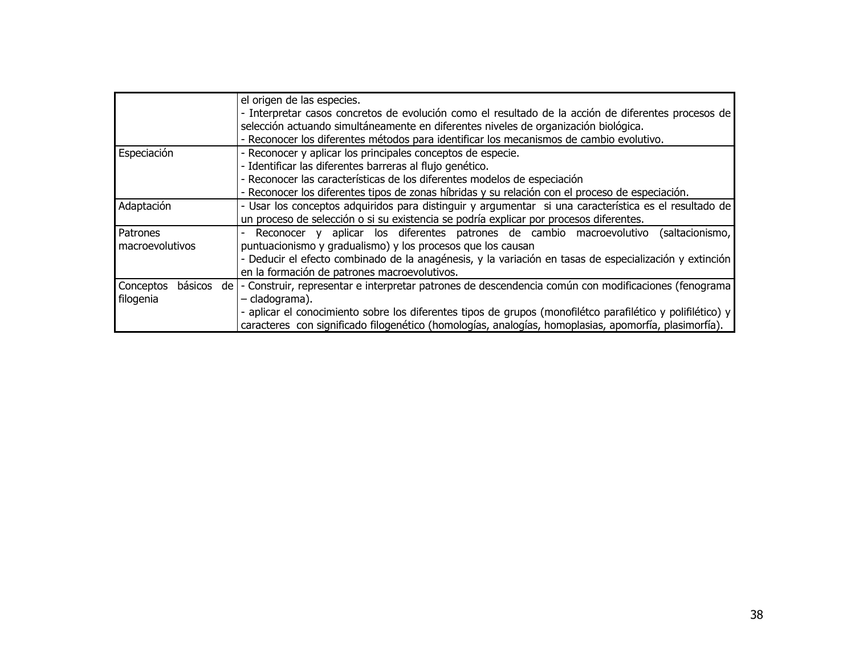|                      | el origen de las especies.                                                                                 |  |  |  |  |  |  |  |  |
|----------------------|------------------------------------------------------------------------------------------------------------|--|--|--|--|--|--|--|--|
|                      | - Interpretar casos concretos de evolución como el resultado de la acción de diferentes procesos de        |  |  |  |  |  |  |  |  |
|                      | selección actuando simultáneamente en diferentes niveles de organización biológica.                        |  |  |  |  |  |  |  |  |
|                      | - Reconocer los diferentes métodos para identificar los mecanismos de cambio evolutivo.                    |  |  |  |  |  |  |  |  |
| Especiación          | - Reconocer y aplicar los principales conceptos de especie.                                                |  |  |  |  |  |  |  |  |
|                      | - Identificar las diferentes barreras al flujo genético.                                                   |  |  |  |  |  |  |  |  |
|                      | - Reconocer las características de los diferentes modelos de especiación                                   |  |  |  |  |  |  |  |  |
|                      | - Reconocer los diferentes tipos de zonas híbridas y su relación con el proceso de especiación.            |  |  |  |  |  |  |  |  |
| Adaptación           | - Usar los conceptos adquiridos para distinguir y argumentar si una característica es el resultado de      |  |  |  |  |  |  |  |  |
|                      | un proceso de selección o si su existencia se podría explicar por procesos diferentes.                     |  |  |  |  |  |  |  |  |
| Patrones             | Reconocer y aplicar los diferentes patrones de cambio macroevolutivo<br>(saltacionismo,                    |  |  |  |  |  |  |  |  |
| macroevolutivos      | puntuacionismo y gradualismo) y los procesos que los causan                                                |  |  |  |  |  |  |  |  |
|                      | - Deducir el efecto combinado de la anagénesis, y la variación en tasas de especialización y extinción     |  |  |  |  |  |  |  |  |
|                      | en la formación de patrones macroevolutivos.                                                               |  |  |  |  |  |  |  |  |
| básicos<br>Conceptos | de   - Construir, representar e interpretar patrones de descendencia común con modificaciones (fenograma   |  |  |  |  |  |  |  |  |
| filogenia            | - cladograma).                                                                                             |  |  |  |  |  |  |  |  |
|                      | - aplicar el conocimiento sobre los diferentes tipos de grupos (monofilétco parafilético y polifilético) y |  |  |  |  |  |  |  |  |
|                      | caracteres con significado filogenético (homologías, analogías, homoplasias, apomorfía, plasimorfía).      |  |  |  |  |  |  |  |  |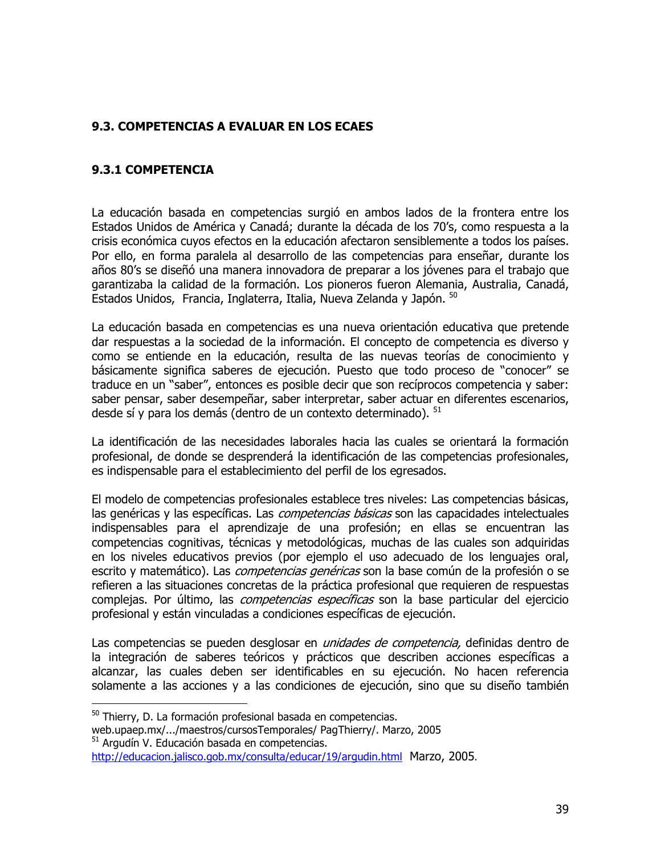## 9.3. COMPETENCIAS A EVALUAR EN LOS ECAES

#### 9.3.1 COMPETENCIA

La educación basada en competencias surgió en ambos lados de la frontera entre los Estados Unidos de América y Canadá; durante la década de los 70's, como respuesta a la crisis económica cuyos efectos en la educación afectaron sensiblemente a todos los países. Por ello, en forma paralela al desarrollo de las competencias para enseñar, durante los años 80's se diseñó una manera innovadora de preparar a los jóvenes para el trabajo que garantizaba la calidad de la formación. Los pioneros fueron Alemania, Australia, Canadá, Estados Unidos, Francia, Inglaterra, Italia, Nueva Zelanda y Japón. 50

La educación basada en competencias es una nueva orientación educativa que pretende dar respuestas a la sociedad de la información. El concepto de competencia es diverso y como se entiende en la educación, resulta de las nuevas teorías de conocimiento y básicamente significa saberes de ejecución. Puesto que todo proceso de "conocer" se traduce en un "saber", entonces es posible decir que son recíprocos competencia y saber: saber pensar, saber desempeñar, saber interpretar, saber actuar en diferentes escenarios, desde sí y para los demás (dentro de un contexto determinado). <sup>51</sup>

La identificación de las necesidades laborales hacia las cuales se orientará la formación profesional, de donde se desprenderá la identificación de las competencias profesionales, es indispensable para el establecimiento del perfil de los egresados.

El modelo de competencias profesionales establece tres niveles: Las competencias básicas, las genéricas y las específicas. Las *competencias básicas* son las capacidades intelectuales indispensables para el aprendizaje de una profesión; en ellas se encuentran las competencias cognitivas, técnicas y metodológicas, muchas de las cuales son adquiridas en los niveles educativos previos (por ejemplo el uso adecuado de los lenguajes oral, escrito y matemático). Las *competencias genéricas* son la base común de la profesión o se refieren a las situaciones concretas de la práctica profesional que requieren de respuestas complejas. Por último, las *competencias específicas* son la base particular del ejercicio profesional y están vinculadas a condiciones específicas de ejecución.

Las competencias se pueden desglosar en *unidades de competencia*, definidas dentro de la integración de saberes teóricos y prácticos que describen acciones específicas a alcanzar, las cuales deben ser identificables en su ejecución. No hacen referencia solamente a las acciones y a las condiciones de ejecución, sino que su diseño también

web.upaep.mx/.../maestros/cursosTemporales/ PagThierry/. Marzo, 2005 <sup>51</sup> Argudín V. Educación basada en competencias.

<sup>&</sup>lt;sup>50</sup> Thierry, D. La formación profesional basada en competencias.

http://educacion.jalisco.gob.mx/consulta/educar/19/arqudin.html Marzo, 2005.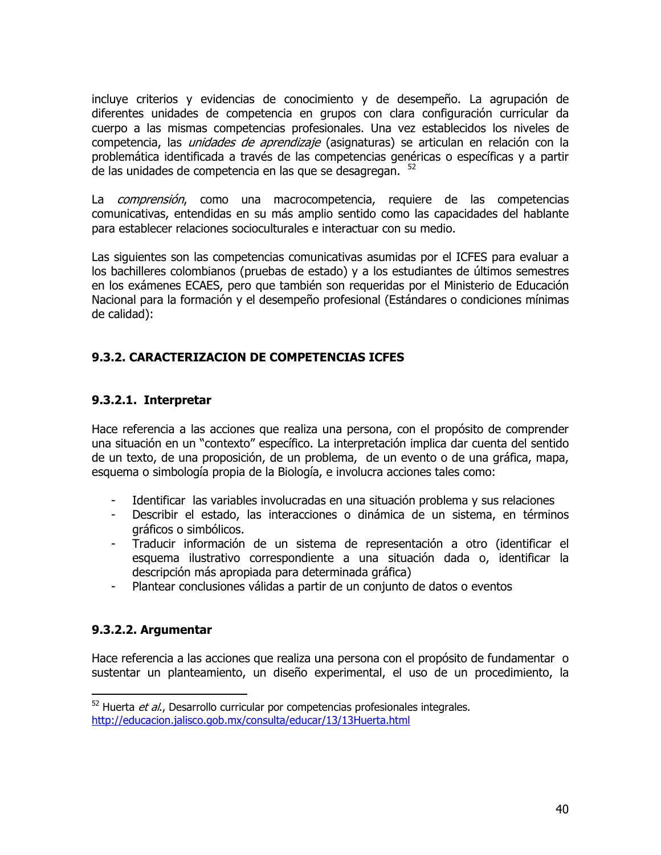incluye criterios y evidencias de conocimiento y de desempeño. La agrupación de diferentes unidades de competencia en grupos con clara configuración curricular da cuerpo a las mismas competencias profesionales. Una vez establecidos los niveles de competencia, las *unidades de aprendizaje* (asignaturas) se articulan en relación con la problemática identificada a través de las competencias genéricas o específicas y a partir de las unidades de competencia en las que se desagregan. 52

La *comprensión*, como una macrocompetencia, requiere de las competencias comunicativas, entendidas en su más amplio sentido como las capacidades del hablante para establecer relaciones socioculturales e interactuar con su medio.

Las siguientes son las competencias comunicativas asumidas por el ICFES para evaluar a los bachilleres colombianos (pruebas de estado) y a los estudiantes de últimos semestres en los exámenes ECAES, pero que también son requeridas por el Ministerio de Educación Nacional para la formación y el desempeño profesional (Estándares o condiciones mínimas de calidad):

# 9.3.2. CARACTERIZACION DE COMPETENCIAS ICFES

## 9.3.2.1. Interpretar

Hace referencia a las acciones que realiza una persona, con el propósito de comprender una situación en un "contexto" específico. La interpretación implica dar cuenta del sentido de un texto, de una proposición, de un problema, de un evento o de una gráfica, mapa, esquema o simbología propia de la Biología, e involucra acciones tales como:

- Identificar las variables involucradas en una situación problema y sus relaciones
- Describir el estado, las interacciones o dinámica de un sistema, en términos  $\sim$ gráficos o simbólicos.
- Traducir información de un sistema de representación a otro (identificar el esquema ilustrativo correspondiente a una situación dada o, identificar la descripción más apropiada para determinada gráfica)
- Plantear conclusiones válidas a partir de un conjunto de datos o eventos

## 9.3.2.2. Argumentar

Hace referencia a las acciones que realiza una persona con el propósito de fundamentar o sustentar un planteamiento, un diseño experimental, el uso de un procedimiento, la

 $52$  Huerta *et al.*, Desarrollo curricular por competencias profesionales integrales. http://educacion.ialisco.gob.mx/consulta/educar/13/13Huerta.html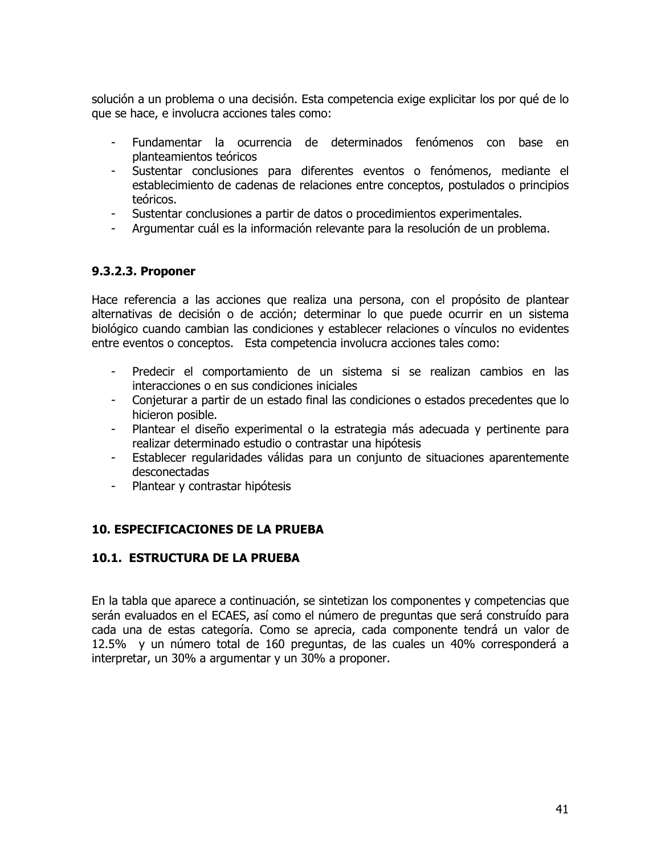solución a un problema o una decisión. Esta competencia exige explicitar los por qué de lo que se hace, e involucra acciones tales como:

- Fundamentar la ocurrencia de determinados fenómenos con base en planteamientos teóricos
- Sustentar conclusiones para diferentes eventos o fenómenos, mediante el establecimiento de cadenas de relaciones entre conceptos, postulados o principios teóricos.
- Sustentar conclusiones a partir de datos o procedimientos experimentales.
- Argumentar cuál es la información relevante para la resolución de un problema.

## 9.3.2.3. Proponer

Hace referencia a las acciones que realiza una persona, con el propósito de plantear alternativas de decisión o de acción; determinar lo que puede ocurrir en un sistema biológico cuando cambian las condiciones y establecer relaciones o vínculos no evidentes entre eventos o conceptos. Esta competencia involucra acciones tales como:

- Predecir el comportamiento de un sistema si se realizan cambios en las interacciones o en sus condiciones iniciales
- Conjeturar a partir de un estado final las condiciones o estados precedentes que lo hicieron posible.
- Plantear el diseño experimental o la estrategia más adecuada y pertinente para realizar determinado estudio o contrastar una hipótesis
- Establecer regularidades válidas para un conjunto de situaciones aparentemente  $\sim$   $$ desconectadas
- Plantear y contrastar hipótesis  $\sim 100$

## **10. ESPECIFICACIONES DE LA PRUEBA**

#### **10.1. ESTRUCTURA DE LA PRUEBA**

En la tabla que aparece a continuación, se sintetizan los componentes y competencias que serán evaluados en el ECAES, así como el número de preguntas que será construído para cada una de estas categoría. Como se aprecia, cada componente tendrá un valor de 12.5% y un número total de 160 preguntas, de las cuales un 40% corresponderá a interpretar, un 30% a argumentar y un 30% a proponer.